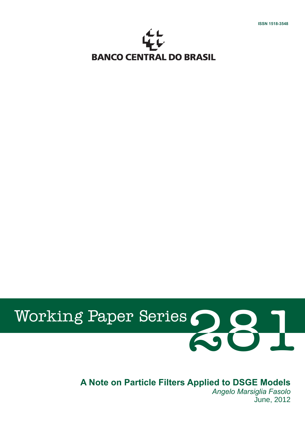

# 281 Working Paper Series

# **A Note on Particle Filters Applied to DSGE Models**

*Angelo Marsiglia Fasolo* June, 2012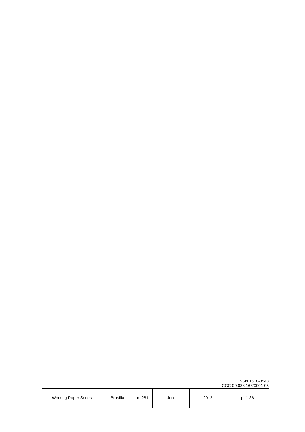|                             |                 |        |      |      | <b>UGU 00.038.100/0001-03</b> |
|-----------------------------|-----------------|--------|------|------|-------------------------------|
| <b>Working Paper Series</b> | <b>Brasília</b> | n. 281 | Jun. | 2012 | $1 - 36$                      |

CGC 00.038.166/0001-05

ISSN 1518-3548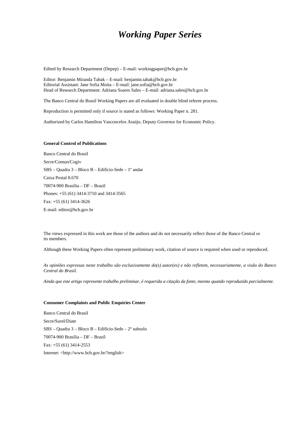# *Working Paper Series*

Edited by Research Department (Depep) – E-mail: workingpaper@bcb.gov.br

Editor: Benjamin Miranda Tabak – E-mail: benjamin.tabak@bcb.gov.br Editorial Assistant: Jane Sofia Moita – E-mail: jane.sofia@bcb.gov.br Head of Research Department: Adriana Soares Sales – E-mail: adriana.sales@bcb.gov.br

The Banco Central do Brasil Working Papers are all evaluated in double blind referee process.

Reproduction is permitted only if source is stated as follows: Working Paper n. 281.

Authorized by Carlos Hamilton Vasconcelos Araújo, Deputy Governor for Economic Policy.

#### **General Control of Publications**

Banco Central do Brasil Secre/Comun/Cogiv SBS – Quadra 3 – Bloco B – Edifício-Sede – 1º andar Caixa Postal 8.670 70074-900 Brasília – DF – Brazil Phones: +55 (61) 3414-3710 and 3414-3565 Fax: +55 (61) 3414-3626 E-mail: editor@bcb.gov.br

The views expressed in this work are those of the authors and do not necessarily reflect those of the Banco Central or its members.

Although these Working Papers often represent preliminary work, citation of source is required when used or reproduced.

*As opiniões expressas neste trabalho são exclusivamente do(s) autor(es) e não refletem, necessariamente, a visão do Banco Central do Brasil.* 

*Ainda que este artigo represente trabalho preliminar, é requerida a citação da fonte, mesmo quando reproduzido parcialmente.* 

#### **Consumer Complaints and Public Enquiries Center**

Banco Central do Brasil Secre/Surel/Diate SBS – Quadra 3 – Bloco B – Edifício-Sede – 2º subsolo 70074-900 Brasília – DF – Brazil Fax: +55 (61) 3414-2553 Internet: <http://www.bcb.gov.br/?english>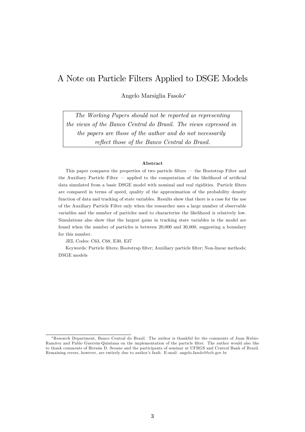# A Note on Particle Filters Applied to DSGE Models

Angelo Marsiglia Fasolo

The Working Papers should not be reported as representing the views of the Banco Central do Brasil. The views expressed in the papers are those of the author and do not necessarily reflect those of the Banco Central do Brasil.

#### Abstract

This paper compares the properties of two particle filters  $-$  the Bootstrap Filter and the Auxiliary Particle Filter  $\overline{\phantom{a}}$  applied to the computation of the likelihood of artificial data simulated from a basic DSGE model with nominal and real rigidities. Particle filters are compared in terms of speed, quality of the approximation of the probability density function of data and tracking of state variables. Results show that there is a case for the use of the Auxiliary Particle Filter only when the researcher uses a large number of observable variables and the number of particles used to characterize the likelihood is relatively low. Simulations also show that the largest gains in tracking state variables in the model are found when the number of particles is between 20,000 and 30,000, suggesting a boundary for this number.

JEL Codes: C63, C68, E30, E37

Keywords: Particle filters; Bootstrap filter; Auxiliary particle filter; Non-linear methods; DSGE models

<sup>\*</sup>Research Department, Banco Central do Brasil. The author is thankful for the comments of Juan Rubio-Ramírez and Pablo Guerrón-Quintana on the implementation of the particle filter. The author would also like to thank comments of Hernán D. Seoane and the participants of seminar at UFRGS and Central Bank of Brazil. Remaining errors, however, are entirely due to author's fault. E-mail: angelo.fasolo@bcb.gov.br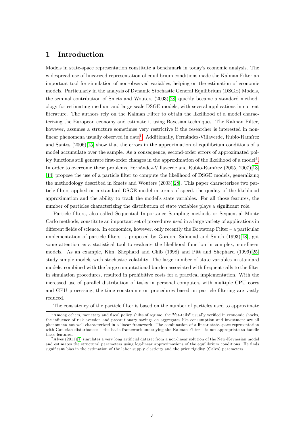## 1 Introduction

Models in state-space representation constitute a benchmark in today's economic analysis. The widespread use of linearized representation of equilibrium conditions made the Kalman Filter an important tool for simulation of non-observed variables, helping on the estimation of economic models. Particularly in the analysis of Dynamic Stochastic General Equilibrium (DSGE) Models, the seminal contribution of Smets and Wouters (2003)[\[28\]](#page-33-0) quickly became a standard methodology for estimating medium and large scale DSGE models, with several applications in current literature. The authors rely on the Kalman Filter to obtain the likelihood of a model characterizing the European economy and estimate it using Bayesian techniques. The Kalman Filter, however, assumes a structure sometimes very restrictive if the researcher is interested in non-linear phenomena usually observed in data<sup>[1](#page-4-0)</sup>. Additionally, Fernández-Villaverde, Rubio-Ramírez and Santos (2006)[\[15\]](#page-32-0) show that the errors in the approximation of equilibrium conditions of a model accumulate over the sample. As a consequence, second-order errors of approximated pol-icy functions still generate first-order changes in the approximation of the likelihood of a model<sup>[2](#page-4-1)</sup>. In order to overcome these problems, Fernández-Villaverde and Rubio-Ramírez  $(2005, 2007)$ [\[13\]](#page-32-1) [\[14\]](#page-32-2) propose the use of a particle Ölter to compute the likelihood of DSGE models, generalizing the methodology described in Smets and Wouters (2003)[\[28\]](#page-33-0). This paper characterizes two particle filters applied on a standard DSGE model in terms of speed, the quality of the likelihood approximation and the ability to track the modelís state variables. For all those features, the number of particles characterizing the distribution of state variables plays a significant role.

Particle Ölters, also called Sequential Importance Sampling methods or Sequential Monte Carlo methods, constitute an important set of procedures used in a large variety of applications in different fields of science. In economics, however, only recently the Bootstrap Filter  $-$  a particular implementation of particle filters  $-$ , proposed by Gordon, Salmond and Smith (1993)[\[18\]](#page-32-3), got some attention as a statistical tool to evaluate the likelihood function in complex, non-linear models. As an example, Kim, Shephard and Chib (1998) and Pitt and Shephard (1999)[\[25\]](#page-32-4) study simple models with stochastic volatility. The large number of state variables in standard models, combined with the large computational burden associated with frequent calls to the filter in simulation procedures, resulted in prohibitive costs for a practical implementation. With the increased use of parallel distribution of tasks in personal computers with multiple CPU cores and GPU processing, the time constraints on procedures based on particle filtering are vastly reduced.

<span id="page-4-0"></span>The consistency of the particle filter is based on the number of particles used to approximate

 $1$ Among others, monetary and fiscal policy shifts of regime, the "fat-tails" usually verified in economic shocks, the influence of risk aversion and precautionary savings on aggregates like consumption and investment are all phenomena not well characterized in a linear framework. The combination of a linear state-space representation with Gaussian disturbances  $-$  the basic framework underlying the Kalman Filter  $-$  is not appropriate to handle these features.

<span id="page-4-1"></span> $2$ Alves (2011)[\[1\]](#page-31-0) simulates a very long artificial dataset from a non-linear solution of the New-Keynesian model and estimates the structural parameters using log-linear approximations of the equilibrium conditions. He finds significant bias in the estimation of the labor supply elasticity and the price rigidity (Calvo) parameters.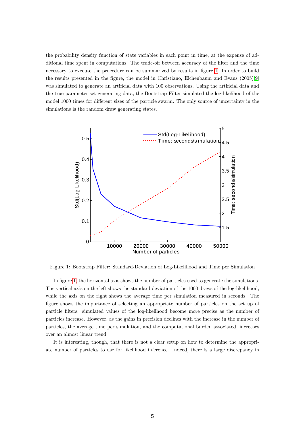the probability density function of state variables in each point in time, at the expense of additional time spent in computations. The trade-off between accuracy of the filter and the time necessary to execute the procedure can be summarized by results in figure [1.](#page-5-0) In order to build the results presented in the figure, the model in Christiano, Eichenbaum and Evans (2005)[\[9\]](#page-31-1) was simulated to generate an artificial data with 100 observations. Using the artificial data and the true parameter set generating data, the Bootstrap Filter simulated the log-likelihood of the model 1000 times for different sizes of the particle swarm. The only source of uncertainty in the simulations is the random draw generating states.



<span id="page-5-0"></span>Figure 1: Bootstrap Filter: Standard-Deviation of Log-Likelihood and Time per Simulation

In figure [1,](#page-5-0) the horizontal axis shows the number of particles used to generate the simulations. The vertical axis on the left shows the standard deviation of the 1000 draws of the log-likelihood, while the axis on the right shows the average time per simulation measured in seconds. The figure shows the importance of selecting an appropriate number of particles on the set up of particle Ölters: simulated values of the log-likelihood become more precise as the number of particles increase. However, as the gains in precision declines with the increase in the number of particles, the average time per simulation, and the computational burden associated, increases over an almost linear trend.

It is interesting, though, that there is not a clear setup on how to determine the appropriate number of particles to use for likelihood inference. Indeed, there is a large discrepancy in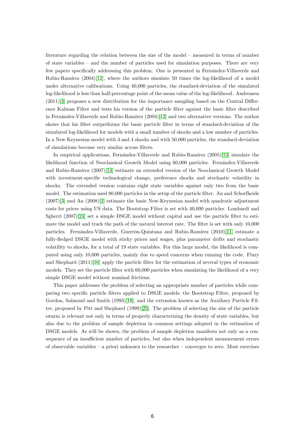literature regarding the relation between the size of the model  $-$  measured in terms of number of state variables  $-$  and the number of particles used for simulation purposes. There are very few papers specifically addressing this problem. One is presented in Fernández-Villaverde and Rubio-Ramírez  $(2004)[12]$  $(2004)[12]$ , where the authors simulate 50 times the log-likelihood of a model under alternative calibrations. Using 40,000 particles, the standard-deviation of the simulated log-likelihood is less than half-percentage point of the mean value of the log-likelihood. Andreasen  $(2011)[4]$  $(2011)[4]$  proposes a new distribution for the importance sampling based on the Central Difference Kalman Filter and tests his version of the particle Ölter against the basic Ölter described in Fernández-Villaverde and Rubio-Ramírez  $(2004)[12]$  $(2004)[12]$  and two alternative versions. The author shows that his filter outperforms the basic particle filter in terms of standard-deviation of the simulated log-likelihood for models with a small number of shocks and a low number of particles. In a New Keynesian model with 3 and 4 shocks and with 50,000 particles, the standard-deviation of simulations become very similar across Ölters.

In empirical applications, Fernandez-Villaverde and Rubio-Ramírez  $(2005)[13]$  $(2005)[13]$  simulate the likelihood function of Neoclassical Growth Model using 60,000 particles. Fernández-Villaverde and Rubio-RamÌrez (2007)[\[14\]](#page-32-2) estimate an extended version of the Neoclassical Growth Model with investment-specific technological change, preference shocks and stochastic volatility in shocks. The extended version contains eight state variables against only two from the basic model. The estimation used 80,000 particles in the setup of the particle filter. An and Schorfheide (2007)[\[3\]](#page-31-3) and An (2008)[\[2\]](#page-31-4) estimate the basic New-Keynesian model with quadratic adjustment costs for prices using US data. The Bootstrap Filter is set with 40,000 particles. Lombardi and Sgherri (2007)[\[24\]](#page-32-6) set a simple DSGE model without capital and use the particle filter to estimate the model and track the path of the natural interest rate. The filter is set with only 10,000 particles. Fernández-Villaverde, Guerrón-Quintana and Rubio-Ramírez (2010)[\[11\]](#page-32-7) estimate a fully-fledged DSGE model with sticky prices and wages, plus parameter drifts and stochastic volatility to shocks, for a total of 19 state variables. For this large model, the likelihood is computed using only 10,000 particles, mainly due to speed concerns when running the code. Flury and Shephard (2011)[\[16\]](#page-32-8) apply the particle filter for the estimation of several types of economic models. They set the particle filter with 60,000 particles when simulating the likelihood of a very simple DSGE model without nominal frictions.

This paper addresses the problem of selecting an appropriate number of particles while comparing two specific particle filters applied to DSGE models: the Bootstrap Filter, proposed by Gordon, Salmond and Smith (1993)[\[18\]](#page-32-3), and the extension known as the Auxiliary Particle Filter, proposed by Pitt and Shephard (1999)[\[25\]](#page-32-4). The problem of selecting the size of the particle swarm is relevant not only in terms of properly characterizing the density of state variables, but also due to the problem of sample depletion in common settings adopted in the estimation of DSGE models. As will be shown, the problem of sample depletion manifests not only as a consequence of an insufficient number of particles, but also when independent measurement errors of observable variables  $-$  a priori unknown to the researcher  $-$  converges to zero. Most exercises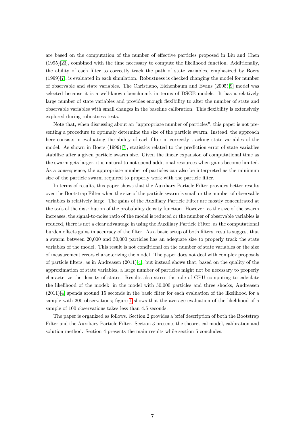are based on the computation of the number of effective particles proposed in Liu and Chen (1995)[\[23\]](#page-32-9), combined with the time necessary to compute the likelihood function. Additionally, the ability of each filter to correctly track the path of state variables, emphasized by Boers (1999)[\[7\]](#page-31-5), is evaluated in each simulation. Robustness is checked changing the model for number of observable and state variables. The Christiano, Eichenbaum and Evans (2005)[\[9\]](#page-31-1) model was selected because it is a well-known benchmark in terms of DSGE models. It has a relatively large number of state variables and provides enough flexibility to alter the number of state and observable variables with small changes in the baseline calibration. This flexibility is extensively explored during robustness tests.

Note that, when discussing about an "appropriate number of particles", this paper is not presenting a procedure to optimaly determine the size of the particle swarm. Instead, the approach here consists in evaluating the ability of each filter in correctly tracking state variables of the model. As shown in Boers (1999)[\[7\]](#page-31-5), statistics related to the prediction error of state variables stabilize after a given particle swarm size. Given the linear expansion of computational time as the swarm gets larger, it is natural to not spend additional resources when gains become limited. As a consequence, the appropriate number of particles can also be interpreted as the minimum size of the particle swarm required to properly work with the particle filter.

In terms of results, this paper shows that the Auxiliary Particle Filter provides better results over the Bootstrap Filter when the size of the particle swarm is small or the number of observable variables is relatively large. The gains of the Auxiliary Particle Filter are mostly concentrated at the tails of the distribution of the probability density function. However, as the size of the swarm increases, the signal-to-noise ratio of the model is reduced or the number of observable variables is reduced, there is not a clear advantage in using the Auxiliary Particle Filter, as the computational burden offsets gains in accuracy of the filter. As a basic setup of both filters, results suggest that a swarm between 20,000 and 30,000 particles has an adequate size to properly track the state variables of the model. This result is not conditional on the number of state variables or the size of measurement errors characterizing the model. The paper does not deal with complex proposals of particle filters, as in Andreasen  $(2011)[4]$  $(2011)[4]$ , but instead shows that, based on the quality of the approximation of state variables, a large number of particles might not be necessary to properly characterize the density of states. Results also stress the role of GPU computing to calculate the likelihood of the model: in the model with 50,000 particles and three shocks, Andreasen  $(2011)[4]$  $(2011)[4]$  spends around 15 seconds in the basic filter for each evaluation of the likelihood for a sample with 200 observations; figure [1](#page-5-0) shows that the average evaluation of the likelihood of a sample of 100 observations takes less than 4.5 seconds.

The paper is organized as follows. Section 2 provides a brief description of both the Bootstrap Filter and the Auxiliary Particle Filter. Section 3 presents the theoretical model, calibration and solution method. Section 4 presents the main results while section 5 concludes.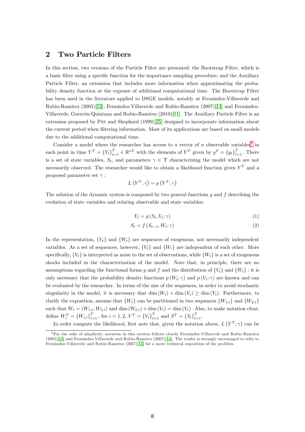## 2 Two Particle Filters

In this section, two versions of the Particle Filter are presented: the Bootstrap Filter, which is a basic filter using a specific function for the importance sampling procedure; and the Auxiliary Particle Filter, an extension that includes more information when approximating the probability density function at the expense of additional computational time. The Bootstrap Filter has been used in the literature applied to DSGE models, notably at Fernandez-Villaverde and Rubio-Ramírez (2005)[\[13\]](#page-32-1), Fernández-Villaverde and Rubio-Ramírez (2007)[\[14\]](#page-32-2) and Fernández-Villaverde, Guerrón-Quintana and Rubio-Ramírez (2010)[\[11\]](#page-32-7). The Auxiliary Particle Filter is an extension proposed by Pitt and Shephard (1999)[\[25\]](#page-32-4) designed to incorporate information about the current period when filtering information. Most of its applications are based on small models due to the additional computational time.

Consider a model where the researcher has access to a vector of  $n$  observable variables<sup>[3](#page-8-0)</sup> in each point in time  $Y^T = \{Y_t\}_{t=1}^T \in \mathbb{R}^{nT}$  with the elements of  $Y^T$  given by  $y^T = \{y_t\}_{t=1}^T$ . There is a set of state variables,  $S_t$ , and parameters  $\gamma \in \Upsilon$  characterizing the model which are not necessarily observed. The researcher would like to obtain a likelihood function given  $Y<sup>T</sup>$  and a proposed parameter set  $\gamma$ :

$$
L(Y^T; \gamma) = p(Y^T; \gamma)
$$

The solution of the dynamic system is composed by two general functions  $q$  and  $f$  describing the evolution of state variables and relating observable and state variables:

<span id="page-8-2"></span><span id="page-8-1"></span>
$$
Y_t = g\left(S_t, V_t; \gamma\right) \tag{1}
$$

$$
S_t = f(S_{t-1}, W_t; \gamma)
$$
\n<sup>(2)</sup>

In the representation,  $\{V_t\}$  and  $\{W_t\}$  are sequences of exogenous, not necessarily independent variables. As a set of sequences, however,  $\{V_t\}$  and  $\{W_t\}$  are independent of each other. More specifically,  ${V_t}$  is interpreted as noise to the set of observations, while  ${W_t}$  is a set of exogenous shocks included in the characterization of the model. Note that, in principle, there are no assumptions regarding the functional forms g and f and the distribution of  $\{V_t\}$  and  $\{W_t\}$ : it is only necessary that the probability density functions  $p(W_t; \gamma)$  and  $p(V_t; \gamma)$  are known and can be evaluated by the researcher. In terms of the size of the sequences, in order to avoid stochastic singularity in the model, it is necessary that  $\dim(W_t) + \dim(V_t) \geq \dim(Y_t)$ . Furthermore, to clarify the exposition, assume that  $\{W_t\}$  can be partitioned in two sequences  $\{W_{1,t}\}$  and  $\{W_{2,t}\}$ such that  $W_t = (W_{1,t}, W_{2,t})$  and dim  $(W_{2,t}) + \dim(V_t) = \dim(V_t)$ . Also, to make notation clear, define  $W_i^T = \{W_{i,t}\}_{t=1}^T$ , for  $i = 1, 2$ ,  $V^T = \{V_t\}_{t=1}^T$  and  $S^T = \{S_t\}_{t=1}^T$ .

In order compute the likelihood, first note that, given the notation above,  $L(Y^T; \gamma)$  can be

<span id="page-8-0"></span><sup>&</sup>lt;sup>3</sup>For the sake of simplicity, notation in this section follows closely Fernández-Villaverde and Rubio-Ramírez  $(2005)$ [\[13\]](#page-32-1) and Fernández-Villaverde and Rubio-Ramírez  $(2007)$ [\[14\]](#page-32-2). The reader is strongly encouraged to refer to Fernández-Villaverde and Rubio-Ramírez (2007)[\[14\]](#page-32-2) for a more technical exposition of the problem.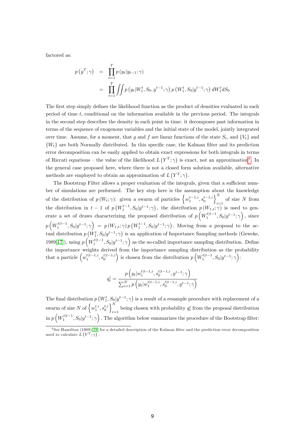factored as:

$$
p(y^T; \gamma) = \prod_{t=1}^T p(y_t | y_{t-1}; \gamma)
$$
  
= 
$$
\prod_{t=1}^T \iint p(y_t | W_1^t, S_0, y^{t-1}; \gamma) p(W_1^t, S_0 | y^{t-1}; \gamma) dW_1^t dS_0
$$

The first step simply defines the likelihood function as the product of densities evaluated in each period of time t, conditional on the information available in the previous period. The integrals in the second step describes the density in each point in time: it decomposes past information in terms of the sequence of exogenous variables and the initial state of the model, jointly integrated over time. Assume, for a moment, that g and f are linear functions of the state  $S_t$ , and  $\{V_t\}$  and  $\{W_t\}$  are both Normally distributed. In this specific case, the Kalman filter and its prediction error decomposition can be easily applied to obtain exact expressions for both integrals in terms of Riccati equations – the value of the likelihood  $L(Y^T; \gamma)$  is exact, not an approximation<sup>[4](#page-9-0)</sup>. In the general case proposed here, where there is not a closed form solution available, alternative methods are employed to obtain an approximation of  $L(Y^T; \gamma)$ .

The Bootstrap Filter allows a proper evaluation of the integrals, given that a sufficient number of simulations are performed. The key step here is the assumption about the knowledge of the distribution of  $p(W_t; \gamma)$ : given a swarm of particles  $\left\{w_1^{t-1,i}, s_0^{t-1,i}\right\}_{i=1}^N$  $\sum_{i=1}$  of size N from the distribution in  $t-1$  of  $p(W_1^{t-1}, S_0 | y^{t-1}; \gamma)$ , the distribution  $p(W_{1,t}; \gamma)$  is used to generate a set of draws characterizing the proposed distribution of  $p\left(W_1^{t|t-1}, S_0|y^{t-1};\gamma\right)$ , since  $p\left(W_1^{t|t-1}, S_0|y^{t-1};\gamma\right) = p\left(W_{1,t};\gamma\right) p\left(W_1^{t-1}, S_0|y^{t-1};\gamma\right)$ . Moving from a proposal to the actual distribution  $p\left(W_1^t, S_0 | y^{t-1}; \gamma\right)$  is an application of Importance Sampling methods (Geweke, 1989[\[17\]](#page-32-10)), using  $p\left(W_1^{t|t-1}, S_0 | y^{t-1}; \gamma\right)$  as the so-called importance sampling distribution. Define the importance weights derived from the importance sampling distribution as the probability that a particle  $\left(w_1^{t|t-1,i}, s_0^{t|t-1,i}\right)$  is chosen from the distribution  $p\left(W_1^{t|t-1}, S_0|y^{t-1}; \gamma\right)$ :

$$
q_t^i = \frac{p\left(y_t|w_1^{t|t-1,i}, s_0^{t|t-1,i}, y^{t-1}; \gamma\right)}{\sum_{i=1}^N p\left(y_t|w_1^{t|t-1,i}, s_0^{t|t-1,i}, y^{t-1}; \gamma\right)}
$$

The final distribution  $p(W_1^t, S_0 | y^{t-1}; \gamma)$  is a result of a resample procedure with replacement of a swarm of size N of  $\left\{w_1^{t,i}, s_0^{t,i}\right\}^N$ being chosen with probability  $q_t^i$  from the proposal distribution  $\inf p\left(W_1^{t|t-1}, S_0|y^{t-1};\gamma\right)$ . The algorithm below summarizes the procedure of the Bootstrap filter:

<span id="page-9-0"></span><sup>&</sup>lt;sup>4</sup> See Hamilton (1989)[\[19\]](#page-32-11) for a detailed description of the Kalman filter and the prediction error decomposition used to calculate  $L(Y^T; \gamma)$ .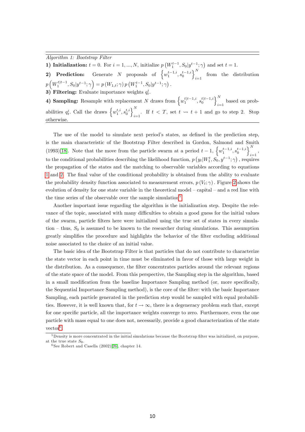Algorithm 1: Bootstrap Filter

1) Initialization:  $t = 0$ . For  $i = 1, ..., N$ , initialize  $p(W_1^{t-1}, S_0 | y^{t-1}; \gamma)$  and set  $t = 1$ .

2) Prediction: Generate N proposals of  $\left\{w_1^{t-1,i}, s_0^{t-1,i}\right\}_{i=1}^N$  $i=1$  from the distribution  $p\left(W_1^{t|t-1}, S_0|y^{t-1}; \gamma\right) = p\left(W_{1,t}; \gamma\right) p\left(W_1^{t-1}, S_0|y^{t-1}; \gamma\right).$ 

3) Filtering: Evaluate importance weights  $q_t^i$ .

4) Sampling: Resample with replacement N draws from  $\left\{w_1^{t|t-1,i}, s_0^{t|t-1,i}\right\}^N$ based on prob-<br> $i=1$ abilities  $q_t^i$ . Call the draws  $\left\{w_1^{t,i}, s_0^{t,i}\right\}$ . . If  $t < T$ , set  $t \leadsto t + 1$  and go to step 2. Stop otherwise.

The use of the model to simulate next period's states, as defined in the prediction step, is the main characteristic of the Bootstrap Filter described in Gordon, Salmond and Smith (1993)[\[18\]](#page-32-3). Note that the move from the particle swarm at a period  $t-1$ ,  $\left\{w_1^{t-1,i}, s_0^{t-1,i}\right\}_{i=1}^N$  $_{i=1}$ <sup> $,$ </sup> to the conditional probabilities describing the likelihood function,  $p(y_t|W_1^t, S_0, y^{t-1}; \gamma)$ , requires the propagation of the states and the matching to observable variables according to equations [1](#page-8-1) and [2.](#page-8-2) The final value of the conditional probability is obtained from the ability to evaluate the probability density function associated to measurement errors,  $p(V_t; \gamma)$ . Figure [2](#page-11-0) shows the evolution of density for one state variable in the theoretical model  $-$  capital  $-$  and a red line with the time series of the observable over the sample simulation<sup>[5](#page-10-0)</sup>.

Another important issue regarding the algorithm is the initialization step. Despite the relevance of the topic, associated with many difficulties to obtain a good guess for the initial values of the swarm, particle Ölters here were initialized using the true set of states in every simulation – thus,  $S_0$  is assumed to be known to the researcher during simulations. This assumption greatly simplifies the procedure and highlights the behavior of the filter excluding additional noise associated to the choice of an initial value.

The basic idea of the Bootstrap Filter is that particles that do not contribute to characterize the state vector in each point in time must be eliminated in favor of those with large weight in the distribution. As a consequence, the filter concentrates particles around the relevant regions of the state space of the model. From this perspective, the Sampling step in the algorithm, based in a small modification from the baseline Importance Sampling method (or, more specifically, the Sequential Importance Sampling method), is the core of the filter: with the basic Importance Sampling, each particle generated in the prediction step would be sampled with equal probabilities. However, it is well known that, for  $t \to \infty$ , there is a degeneracy problem such that, except for one specific particle, all the importance weights converge to zero. Furthermore, even the one particle with mass equal to one does not, necessarily, provide a good characterization of the state  $vector<sup>6</sup>$  $vector<sup>6</sup>$  $vector<sup>6</sup>$ .

<span id="page-10-0"></span><sup>&</sup>lt;sup>5</sup>Density is more concentrated in the initial simulations because the Bootstrap filter was initialized, on purpose, at the true state  $S_0$ .

<span id="page-10-1"></span> $6$  See Robert and Casella  $(2002)[26]$  $(2002)[26]$ , chapter 14.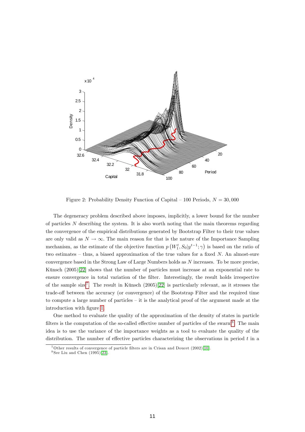

<span id="page-11-0"></span>Figure 2: Probability Density Function of Capital  $-100$  Periods,  $N = 30,000$ 

The degeneracy problem described above imposes, implicitly, a lower bound for the number of particles  $N$  describing the system. It is also worth noting that the main theorems regarding the convergence of the empirical distributions generated by Bootstrap Filter to their true values are only valid as  $N \to \infty$ . The main reason for that is the nature of the Importance Sampling mechanism, as the estimate of the objective function  $p(W_1^t, S_0 | y^{t-1}; \gamma)$  is based on the ratio of two estimates  $-$  thus, a biased approximation of the true values for a fixed N. An almost-sure convergence based in the Strong Law of Large Numbers holds as N increases. To be more precise, Künsch  $(2005)[22]$  $(2005)[22]$  shows that the number of particles must increase at an exponential rate to ensure convergence in total variation of the filter. Interestingly, the result holds irrespective of the sample size<sup>[7](#page-11-1)</sup>. The result in Künsch  $(2005)[22]$  $(2005)[22]$  is particularly relevant, as it stresses the trade-off between the accuracy (or convergence) of the Bootstrap Filter and the required time to compute a large number of particles  $-$  it is the analytical proof of the argument made at the introduction with figure [1.](#page-5-0)

One method to evaluate the quality of the approximation of the density of states in particle filters is the computation of the so-called effective number of particles of the swarm<sup>[8](#page-11-2)</sup>. The main idea is to use the variance of the importance weights as a tool to evaluate the quality of the distribution. The number of effective particles characterizing the observations in period  $t$  in a

<span id="page-11-1"></span> $^7$ Other results of convergence of particle filters are in Crisan and Doucet (2002)[\[10\]](#page-31-6).

<span id="page-11-2"></span> $8$  See Liu and Chen  $(1995)[23]$  $(1995)[23]$ .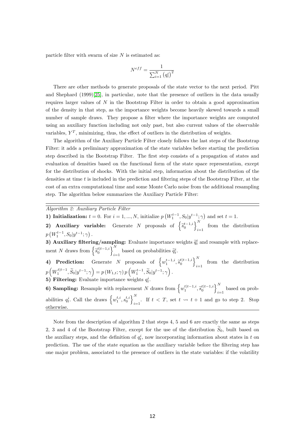particle filter with swarm of size  $N$  is estimated as:

$$
N^{eff} = \frac{1}{\sum_{i=1}^{N} (q_t^i)^2}
$$

There are other methods to generate proposals of the state vector to the next period. Pitt and Shephard (1999)[\[25\]](#page-32-4), in particular, note that the presence of outliers in the data usually requires larger values of  $N$  in the Bootstrap Filter in order to obtain a good approximation of the density in that step, as the importance weights become heavily skewed towards a small number of sample draws. They propose a filter where the importance weights are computed using an auxiliary function including not only past, but also current values of the observable variables,  $Y^T$ , minimizing, thus, the effect of outliers in the distribution of weights.

The algorithm of the Auxiliary Particle Filter closely follows the last steps of the Bootstrap Filter: it adds a preliminary approximation of the state variables before starting the prediction step described in the Bootstrap Filter. The first step consists of a propagation of states and evaluation of densities based on the functional form of the state space representation, except for the distribution of shocks. With the initial step, information about the distribution of the densities at time  $t$  is included in the prediction and filtering steps of the Bootstrap Filter, at the cost of an extra computational time and some Monte Carlo noise from the additional resampling step. The algorithm below summarizes the Auxiliary Particle Filter:

Algorithm 2: Auxiliary Particle Filter

1) Initialization:  $t = 0$ . For  $i = 1, ..., N$ , initialize  $p\left(W_1^{t-1}, S_0 | y^{t-1}; \gamma\right)$  and set  $t = 1$ .

2) Auxiliary variable: Generate N proposals of  $\left\{\widetilde{s}_0^{t-1,i}\right\}_{i=1}^N$  $i=1$  from the distribution  $p(W_1^{t-1}, S_0 | y^{t-1}; \gamma).$ 1

3) Auxiliary filtering/sampling: Evaluate importance weights  $\tilde{q}_t^i$  and resample with replacement N draws from  $\left\{ \tilde{s}_0^{t|t-1,i} \right\}_{i=1}^N$  based on probabilities  $\tilde{q}_t^i$ .

- 4) Prediction: Generate N proposals of  $\left\{w_1^{t-1,i}, \tilde{s}_0^{t|t-1,i}\right\}_{i=1}^N$  $i=1$  from the distribution  $p\left(W_1^{t|t-1}, \widetilde{S}_0|y^{t-1}; \gamma\right) = p\left(W_{1,t}; \gamma\right) p\left(W_1^{t-1}, \widetilde{S}_0|y^{t-1}; \gamma\right).$
- 5) Filtering: Evaluate importance weights  $q_t^i$ .

**6) Sampling:** Resample with replacement N draws from  $\left\{w_1^{t|t-1,i}, \tilde{s}_0^{t|t-1,i}\right\}_{i=1}^N$  $i=1$  based on probabilities  $q_t^i$ . Call the draws  $\left\{w_1^{t,i}, s_0^{t,i}\right\}_{i=1}^N$ . If  $t < T$ , set  $t \leadsto t + 1$  and go to step 2. Stop otherwise.

Note from the description of algorithm 2 that steps 4, 5 and 6 are exactly the same as steps 2, 3 and 4 of the Bootstrap Filter, except for the use of the distribution  $\tilde{S}_0$ , built based on the auxiliary steps, and the definition of  $q_t^i$ , now incorporating information about states in t on prediction. The use of the state equation as the auxiliary variable before the Öltering step has one major problem, associated to the presence of outliers in the state variables: if the volatility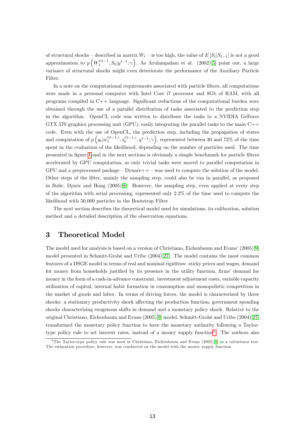of structural shocks – described in matrix  $W_t$  – is too high, the value of  $E [S_t | S_{t-1}]$  is not a good approximation to  $p\left(W_1^{t|t-1}, S_0|y^{t-1}; \gamma\right)$ . As Arulampalam et al. (2002)[\[5\]](#page-31-7) point out, a large variance of structural shocks might even deteriorate the performance of the Auxiliary Particle Filter.

In a note on the computational requirements associated with particle Ölters, all computations were made in a personal computer with Intel Core i7 processor and 8Gb of RAM, with all programs compiled in  $C++$  language. Significant reductions of the computational burden were obtained through the use of a parallel distribution of tasks associated to the prediction step in the algorithm. OpenCL code was written to distribute the tasks to a NVIDIA GeForce GTX 570 graphics processing unit (GPU), easily integrating the parallel tasks to the main  $C++$ code. Even with the use of OpenCL, the prediction step, including the propagation of states and computation of  $p(y_t|w_1^{t|t-1,i}, s_0^{t|t-1,i}, y^{t-1};\gamma)$ , represented between 30 and 72% of the time spent in the evaluation of the likelihood, depending on the number of particles used. The time presented in Ögure [1](#page-5-0) and in the next sections is obviously a simple benchmark for particle Ölters accelerated by GPU computation, as only trivial tasks were moved to parallel computation in GPU and a preprocessed package  $-Dynare++ -$  was used to compute the solution of the model. Other steps of the Ölter, mainly the sampling step, could also be run in parallel, as proposed in Bolic, Djuric and Hong (2005)[\[8\]](#page-31-8). However, the sampling step, even applied at every step of the algorithm with serial processing, represented only 2.2% of the time used to compute the likelihood with 50,000 particles in the Bootstrap Filter

The next section describes the theoretical model used for simulations, its calibration, solution method and a detailed description of the observation equations.

## 3 Theoretical Model

The model used for analysis is based on a version of Christiano, Eichenbaum and Evans'  $(2005)[9]$  $(2005)[9]$ model presented in Schmitt-Grohé and Uribe (2004)[\[27\]](#page-33-2). The model contains the most common features of a DSGE model in terms of real and nominal rigidities: sticky prices and wages, demand for money from households justified by its presence in the utility function, firms' demand for money in the form of a cash-in-advance constraint, investment adjustment costs, variable capacity utilization of capital, internal habit formation in consumption and monopolistic competition in the market of goods and labor. In terms of driving forces, the model is characterized by three shocks: a stationary productivity shock affecting the production function, government spending shocks characterizing exogenous shifts in demand and a monetary policy shock. Relative to the original Christiano, Eichenbaum and Evans (2005)[\[9\]](#page-31-1) model, Schmitt-GrohÈ and Uribe (2004)[\[27\]](#page-33-2) transformed the monetary policy function to have the monetary authority following a Taylor-type policy rule to set interest rates, instead of a money supply function<sup>[9](#page-13-0)</sup>. The authors also

<span id="page-13-0"></span><sup>&</sup>lt;sup>9</sup> The Taylor-type policy rule was used in Christiano, Eichenbaum and Evans (2005)[\[9\]](#page-31-1) as a robustness test. The estimation procedure, however, was conducted on the model with the money supply function.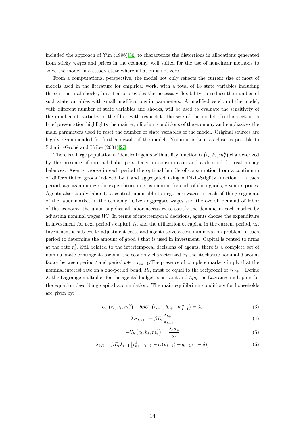included the approach of Yun (1996)[\[30\]](#page-33-3) to characterize the distortions in allocations generated from sticky wages and prices in the economy, well suited for the use of non-linear methods to solve the model in a steady state where inflation is not zero.

From a computational perspective, the model not only reflects the current size of most of models used in the literature for empirical work, with a total of 13 state variables including three structural shocks, but it also provides the necessary flexibility to reduce the number of such state variables with small modifications in parameters. A modified version of the model, with different number of state variables and shocks, will be used to evaluate the sensitivity of the number of particles in the filter with respect to the size of the model. In this section, a brief presentation highlights the main equilibrium conditions of the economy and emphasizes the main parameters used to reset the number of state variables of the model. Original sources are highly recommended for further details of the model. Notation is kept as close as possible to Schmitt-Grohé and Uribe  $(2004)[27]$  $(2004)[27]$ .

There is a large population of identical agents with utility function  $U(e_t, h_t, m_t^h)$  characterized by the presence of internal habit persistence in consumption and a demand for real money balances. Agents choose in each period the optimal bundle of consumption from a continuum of differentiated goods indexed by i and aggregated using a Dixit-Stiglitz function. In each period, agents minimize the expenditure in consumption for each of the  $i$  goods, given its prices. Agents also supply labor to a central union able to negotiate wages in each of the  $j$  segments of the labor market in the economy. Given aggregate wages and the overall demand of labor of the economy, the union supplies all labor necessary to satisfy the demand in each market by adjusting nominal wages  $W_t^j$ . In terms of intertemporal decisions, agents choose the expenditure in investment for next period's capital,  $i_t$ , and the utilization of capital in the current period,  $u_t$ . Investment is subject to adjustment costs and agents solve a cost-minimization problem in each period to determine the amount of good  $i$  that is used in investment. Capital is rented to firms at the rate  $r_t^k$ . Still related to the intertemporal decisions of agents, there is a complete set of nominal state-contingent assets in the economy characterized by the stochastic nominal discount factor between period t and period  $t+1$ ,  $r_{t,t+1}$ . The presence of complete markets imply that the nominal interest rate on a one-period bond,  $R_t$ , must be equal to the reciprocal of  $r_{t,t+1}$ . Define  $\lambda_t$  the Lagrange multiplier for the agents' budget constraint and  $\lambda_t q_t$  the Lagrange multiplier for the equation describing capital accumulation. The main equilibrium conditions for households are given by:

$$
U_c(c_t, h_t, m_t^h) - b\beta U_c(c_{t+1}, h_{t+1}, m_{t+1}^h) = \lambda_t
$$
\n(3)

<span id="page-14-0"></span>
$$
\lambda_t r_{t,t+1} = \beta E_t \frac{\lambda_{t+1}}{\pi_{t+1}} \tag{4}
$$

$$
-U_h\left(c_t, h_t, m_t^h\right) = \frac{\lambda_t w_t}{\widetilde{\mu}_t} \tag{5}
$$

$$
\lambda_t q_t = \beta E_t \lambda_{t+1} \left[ r_{t+1}^k u_{t+1} - a(u_{t+1}) + q_{t+1} (1 - \delta) \right]
$$
 (6)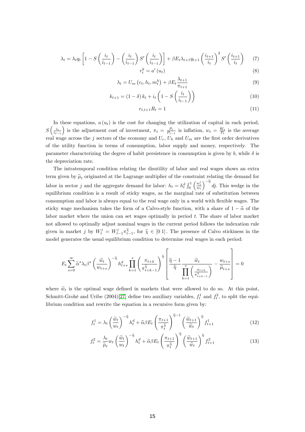$$
\lambda_t = \lambda_t q_t \left[ 1 - S\left(\frac{i_t}{i_{t-1}}\right) - \left(\frac{i_t}{i_{t-1}}\right) S'\left(\frac{i_t}{i_{t-1}}\right) \right] + \beta E_t \lambda_{t+1} q_{t+1} \left(\frac{i_{t+1}}{i_t}\right)^2 S'\left(\frac{i_{t+1}}{i_t}\right) \tag{8}
$$

$$
r_t^k = a'(u_t) \tag{8}
$$

$$
\lambda_t = U_m \left( c_t, h_t, m_t^h \right) + \beta E_t \frac{\lambda_{t+1}}{\pi_{t+1}} \tag{9}
$$

$$
k_{t+1} = (1 - \delta) k_t + i_t \left( 1 - S \left( \frac{i_t}{i_{t-1}} \right) \right)
$$
\n
$$
(10)
$$

$$
r_{t,t+1}R_t = 1\tag{11}
$$

In these equations,  $a(u_t)$  is the cost for changing the utilization of capital in each period,  $S\left(\frac{i_t}{i_{t-1}}\right)$ ) is the adjustment cost of investment,  $\pi_t = \frac{P_t}{P_{t-1}}$  is inflation,  $w_t = \frac{W_t}{P_t}$  is the average real wage across the j sectors of the economy and  $U_c$ ,  $U_h$  and  $U_m$  are the first order derivatives of the utility function in terms of consumption, labor supply and money, respectively. The parameter characterizing the degree of habit persistence in consumption is given by b, while  $\delta$  is the depreciation rate.

The intratemporal condition relating the disutility of labor and real wages shows an extra term given by  $\tilde{\mu}_t$  originated at the Lagrange multiplier of the constraint relating the demand for labor in sector j and the aggregate demand for labor:  $h_t = h_t^d \int_0^1$  $\left(\frac{w_t^j}{w_t}\right)$  $\int_{0}^{-\tilde{\eta}} d\tilde{g}$ . This wedge in the equilibrium condition is a result of sticky wages, as the marginal rate of substitution between consumption and labor is always equal to the real wage only in a world with flexible wages. The sticky wage mechanism takes the form of a Calvo-style function, with a share of  $1 - \tilde{\alpha}$  of the labor market where the union can set wages optimally in period t. The share of labor market not allowed to optimally adjust nominal wages in the current period follows the indexation rule given in market j by  $W_t^j = W_{t-1}^j \tilde{x}_{t-1}^{\tilde{\chi}}$ , for  $\tilde{\chi} \in [0 1]$ . The presence of Calvo stickiness in the model generates the usual equilibrium condition to determine real wages in each period:

$$
E_t \sum_{s=0}^{\infty} \widetilde{\alpha}^s \lambda_t \beta^s \left(\frac{\widetilde{w}_t}{w_{t+s}}\right)^{-\widetilde{\eta}} h^d_{t+s} \prod_{k=1}^s \left(\frac{\pi_{t+k}}{\pi_{t+k-1}^{\widetilde{\chi}}} \right)^{\widetilde{\eta}} \left[ \frac{\widetilde{\eta}-1}{\widetilde{\eta}} \frac{\widetilde{w}_t}{\prod\limits_{k=1}^s \left(\frac{\pi_{t+k}}{\pi_{t+k-1}^{\widetilde{\chi}}} \right)} - \frac{w_{t+s}}{\widetilde{\mu}_{t+s}} \right] = 0
$$

where  $\tilde{w}_t$  is the optimal wage defined in markets that were allowed to do so. At this point, Schmitt-Grohé and Uribe (2004)[\[27\]](#page-33-2) define two auxiliary variables,  $f_t^1$  and  $f_t^2$ , to split the equilibrium condition and rewrite the equation in a recursive form given by:

$$
f_t^1 = \lambda_t \left(\frac{\tilde{w}_t}{w_t}\right)^{-\tilde{\eta}} h_t^d + \tilde{\alpha}\beta E_t \left(\frac{\pi_{t+1}}{\pi_t^{\tilde{\chi}}}\right)^{\tilde{\eta}-1} \left(\frac{\tilde{w}_{t+1}}{\tilde{w}_t}\right)^{\tilde{\eta}} f_{t+1}^1 \tag{12}
$$

$$
f_t^2 = \frac{\lambda_t}{\widetilde{\mu}_t} w_t \left(\frac{\widetilde{w}_t}{w_t}\right)^{-\widetilde{\eta}} h_t^d + \widetilde{\alpha}\beta E_t \left(\frac{\pi_{t+1}}{\pi_t^{\widetilde{\chi}}}\right)^{\widetilde{\eta}} \left(\frac{\widetilde{w}_{t+1}}{\widetilde{w}_t}\right)^{\widetilde{\eta}} f_{t+1}^2 \tag{13}
$$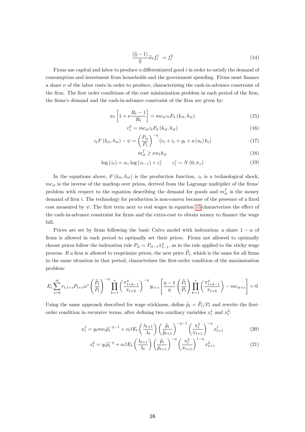$$
\frac{(\tilde{\eta} - 1)}{\tilde{\eta}} \tilde{w}_t f_t^1 = f_t^2 \tag{14}
$$

Firms use capital and labor to produce a differentiated good  $i$  in order to satisfy the demand of consumption and investment from households and the government spending. Firms must finance a share  $\nu$  of the labor costs in order to produce, characterizing the cash-in-advance constraint of the firm. The first order conditions of the cost minimization problem in each period of the firm, the firms's demand and the cash-in-advance constraint of the firm are given by:

$$
w_t \left[ 1 + \nu \frac{R_t - 1}{R_t} \right] = mc_{it} z_t F_h \left( k_{it}, h_{it} \right) \tag{15}
$$

$$
r_t^k = mc_{it}z_t F_k(k_{it}, h_{it})
$$
\n<sup>(16)</sup>

$$
z_t F\left(k_{it}, h_{it}\right) - \psi = \left(\frac{P_{it}}{P_t}\right)^{-\eta} \left(c_t + i_t + g_t + a\left(u_t\right)k_t\right) \tag{17}
$$

<span id="page-16-1"></span><span id="page-16-0"></span>
$$
n_{it}^f \ge \nu w_t h_{it} \tag{18}
$$

$$
\log(z_t) = \alpha_z \log(z_{t-1}) + \varepsilon_t^z \qquad \varepsilon_t^z \sim N(0, \sigma_z)
$$
\n(19)

In the equations above,  $F(k_{it}, h_{it})$  is the production function,  $z_t$  is a technological shock,  $mc_{it}$  is the inverse of the markup over prices, derived from the Lagrange multiplier of the firms problem with respect to the equation describing the demand for goods and  $m_{it}^f$  is the money demand of firm  $i$ . The technology for production is non-convex because of the presence of a fixed cost measured by  $\psi$ . The first term next to real wages in equation [15](#page-16-0) characterizes the effect of the cash-in-advance constraint for firms and the extra-cost to obtain money to finance the wage bill.

 $\boldsymbol{\eta}$ 

Prices are set by firms following the basic Calvo model with indexation: a share  $1 - \alpha$  of firms is allowed in each period to optimally set their prices. Firms not allowed to optimally choose prices follow the indexation rule  $P_{it} = P_{it-1} \pi_{t-1}^{\chi}$ , as in the rule applied to the sticky wage process. If a firm is allowed to reoptimize prices, the new price  $P_t$ , which is the same for all firms in the same situation in that period, characterizes the first-order condition of the maximization problem:

$$
E_t \sum_{s=0}^{\infty} r_{t,t+s} P_{t+s} \alpha^s \left(\frac{\widetilde{P}_t}{P_t}\right)^{-\eta} \prod_{k=1}^s \left(\frac{\pi_{t+k-1}^{\chi}}{\pi_{t+k}}\right)^{-\eta} y_{t+s} \left[\frac{\eta-1}{\eta} \left(\frac{\widetilde{P}_t}{P_t}\right) \prod_{k=1}^s \left(\frac{\pi_{t+k-1}^{\chi}}{\pi_{t+k}}\right) - mc_{it+s}\right] = 0
$$

Using the same approach described for wage stickiness, define  $\tilde{p}_t = \tilde{P}_t / P_t$  and rewrite the firstorder condition in recursive terms, after defining two auxiliary variables  $x_t^1$  and  $x_t^2$ .

$$
x_t^1 = y_t m c_t \tilde{p}_t^{-\eta - 1} + \alpha \beta E_t \left(\frac{\lambda_{t+1}}{\lambda_t}\right) \left(\frac{\tilde{p}_t}{\tilde{p}_{t+1}}\right)^{-\eta - 1} \left(\frac{\pi_t^{\chi}}{\pi_{t+1}}\right)^{-\eta} x_{t+1}^1 \tag{20}
$$

$$
x_t^2 = y_t \widetilde{p}_t^{-\eta} + \alpha \beta E_t \left(\frac{\lambda_{t+1}}{\lambda_t}\right) \left(\frac{\widetilde{p}_t}{\widetilde{p}_{t+1}}\right)^{-\eta} \left(\frac{\pi_t^{\chi}}{\pi_{t+1}}\right)^{1-\eta} x_{t+1}^2 \tag{21}
$$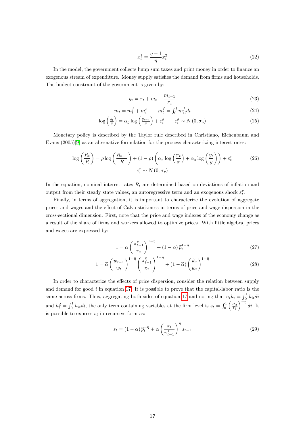$$
x_t^1 = \frac{\eta - 1}{\eta} x_t^2 \tag{22}
$$

In the model, the government collects lump sum taxes and print money in order to finance an exogenous stream of expenditure. Money supply satisfies the demand from firms and households. The budget constraint of the government is given by:

$$
g_t = \tau_t + m_t - \frac{m_{t-1}}{\pi_t} \tag{23}
$$

$$
m_t = m_t^f + m_t^h \qquad m_t^f = \int_0^1 m_{it}^f \, dt \tag{24}
$$

$$
\log\left(\frac{g_t}{g}\right) = \alpha_g \log\left(\frac{g_{t-1}}{g}\right) + \varepsilon_t^g \qquad \varepsilon_t^g \sim N\left(0, \sigma_g\right) \tag{25}
$$

Monetary policy is described by the Taylor rule described in Christiano, Eichenbaum and Evans  $(2005)[9]$  $(2005)[9]$  as an alternative formulation for the process characterizing interest rates:

$$
\log\left(\frac{R_t}{R}\right) = \rho \log\left(\frac{R_{t-1}}{R}\right) + (1-\rho)\left(\alpha_\pi \log\left(\frac{\pi_t}{\pi}\right) + \alpha_y \log\left(\frac{y_t}{y}\right)\right) + \varepsilon_t^r \tag{26}
$$
\n
$$
\varepsilon_t^r \sim N(0, \sigma_r)
$$

In the equation, nominal interest rates  $R_t$  are determined based on deviations of inflation and output from their steady state values, an autoregressive term and an exogenous shock  $\varepsilon_t^r.$ 

Finally, in terms of aggregation, it is important to characterize the evolution of aggregate prices and wages and the effect of Calvo stickiness in terms of price and wage dispersion in the cross-sectional dimension. First, note that the price and wage indexes of the economy change as a result of the share of Örms and workers allowed to optimize prices. With little algebra, prices and wages are expressed by:

$$
1 = \alpha \left(\frac{\pi_{t-1}^{\chi}}{\pi_t}\right)^{1-\eta} + (1-\alpha)\widetilde{p}_t^{1-\eta} \tag{27}
$$

$$
1 = \widetilde{\alpha} \left(\frac{w_{t-1}}{w_t}\right)^{1-\widetilde{\eta}} \left(\frac{\pi_{t-1}^{\widetilde{\chi}}}{\pi_t}\right)^{1-\widetilde{\eta}} + (1-\widetilde{\alpha}) \left(\frac{\widetilde{w}_t}{w_t}\right)^{1-\widetilde{\eta}} \tag{28}
$$

In order to characterize the effects of price dispersion, consider the relation between supply and demand for good  $i$  in equation [17.](#page-16-1) It is possible to prove that the capital-labor ratio is the same across firms. Thus, aggregating both sides of equation [17](#page-16-1) and noting that  $u_t k_t = \int_0^1 k_{it} di$ and  $h_t^d = \int_0^1 h_{it} dt$ , the only term containing variables at the firm level is  $s_t = \int_0^1 h_{it} dt$  $\left(\frac{P_{it}}{P_t}\right)$  $\int_{0}^{-\eta} di.$  It is possible to express  $s_t$  in recursive form as:

$$
s_t = (1 - \alpha) \tilde{p}_t^{-\eta} + \alpha \left(\frac{\pi_t}{\pi_{t-1}^{\chi}}\right)^{\eta} s_{t-1}
$$
\n
$$
(29)
$$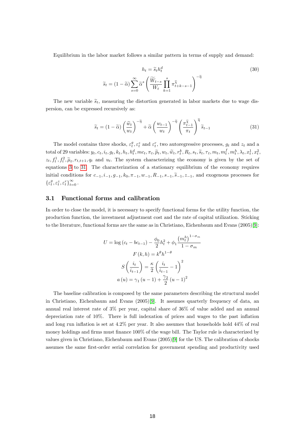Equilibrium in the labor market follows a similar pattern in terms of supply and demand:

$$
h_t = \tilde{s}_t h_t^d
$$
  

$$
\tilde{s}_t = (1 - \tilde{\alpha}) \sum_{s=0}^{\infty} \tilde{\alpha}^s \left( \frac{\widetilde{W}_{t-s}}{W_t} \prod_{k=1}^s \pi_{t+k-s-1}^{\widetilde{\chi}} \right)^{-\widetilde{\eta}}
$$
 (30)

The new variable  $\tilde{s}_t$ , measuring the distortion generated in labor markets due to wage dispersion, can be expressed recursively as:

<span id="page-18-0"></span>
$$
\widetilde{s}_t = (1 - \widetilde{\alpha}) \left(\frac{\widetilde{w}_t}{w_t}\right)^{-\widetilde{\eta}} + \widetilde{\alpha} \left(\frac{w_{t-1}}{w_t}\right)^{-\widetilde{\eta}} \left(\frac{\pi_{t-1}^{\widetilde{\chi}}}{\pi_t}\right)^{\widetilde{\eta}} \widetilde{s}_{t-1}
$$
\n(31)

The model contains three shocks,  $\varepsilon_t^g$ ,  $\varepsilon_t^z$  and  $\varepsilon_t^r$ , two autoregressive processes,  $g_t$  and  $z_t$  and a total of 29 variables:  $y_t, c_t, i_t, g_t, k_t, h_t, h_t^d, mc_t, \pi_t, \widetilde{p}_t, w_t, \widetilde{w}_t, r_t^k, R_t, s_t, \widetilde{s}_t, \tau_t, m_t, m_t^f, m_t^h, \lambda_t, x_t^1, x_t^2,$  $z_t, f_t^1, f_t^2, \tilde{\mu}_t, r_{t,t+1}, q_t$  and  $u_t$ . The system characterizing the economy is given by the set of equations [3](#page-14-0) to [31.](#page-18-0) The characterization of a stationary equilibrium of the economy requires initial conditions for  $c_{-1}, i_{-1}, g_{-1}, k_0, \pi_{-1}, w_{-1}, R_{-1}, s_{-1}, \tilde{s}_{-1}, z_{-1}$ , and exogenous processes for  $\{\varepsilon_t^g, \varepsilon_t^z, \varepsilon_t^r\}_{t=0}^\infty$  .

#### 3.1 Functional forms and calibration

In order to close the model, it is necessary to specify functional forms for the utility function, the production function, the investment adjustment cost and the rate of capital utilization. Sticking to the literature, functional forms are the same as in Christiano, Eichenbaum and Evans (2005)[\[9\]](#page-31-1):

$$
U = \log (c_t - bc_{t-1}) - \frac{\phi_0}{2} h_t^2 + \phi_1 \frac{(m_t^h)^{1-\sigma_m}}{1-\sigma_m}
$$

$$
F(k, h) = k^{\theta} h^{1-\theta}
$$

$$
S\left(\frac{i_t}{i_{t-1}}\right) = \frac{\kappa}{2} \left(\frac{i_t}{i_{t-1}} - 1\right)^2
$$

$$
a(u) = \gamma_1 (u - 1) + \frac{\gamma_2}{2} (u - 1)^2
$$

The baseline calibration is composed by the same parameters describing the structural model in Christiano, Eichenbaum and Evans (2005)[\[9\]](#page-31-1). It assumes quarterly frequency of data, an annual real interest rate of 3% per year, capital share of 36% of value added and an annual depreciation rate of  $10\%$ . There is full indexation of prices and wages to the past inflation and long run inflation is set at  $4.2\%$  per year. It also assumes that households hold  $44\%$  of real money holdings and firms must finance  $100\%$  of the wage bill. The Taylor rule is characterized by values given in Christiano, Eichenbaum and Evans (2005)[\[9\]](#page-31-1) for the US. The calibration of shocks assumes the same first-order serial correlation for government spending and productivity used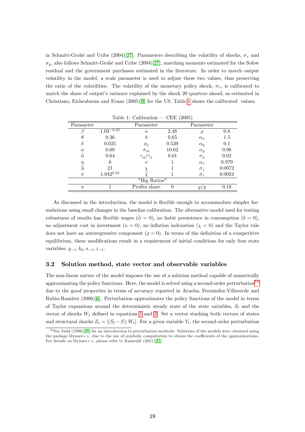in Schmitt-Grohé and Uribe (2004)[\[27\]](#page-33-2). Parameters describing the volatility of shocks,  $\sigma_z$  and  $\sigma_g$ , also follows Schmitt-Grohé and Uribe (2004)[\[27\]](#page-33-2), matching moments estimated for the Solow residual and the government purchases estimated in the literature. In order to match output volatility in the model, a scale parameter is used to adjust these two values, thus preserving the ratio of the volatilities. The volatility of the monetary policy shock,  $\sigma_r$ , is calibrated to match the share of output's variance explained by the shock 20 quarters ahead, as estimated in Christiano, Eichenbaum and Evans (2005)[\[9\]](#page-31-1) for the US. Table [1](#page-19-0) shows the calibrated values.

<span id="page-19-0"></span>

|                      |                | тарк т. сапрталоп   | $U_{\rm H}$ (2000) |                   |        |
|----------------------|----------------|---------------------|--------------------|-------------------|--------|
| Parameter            |                | Parameter           |                    | Parameter         |        |
|                      | $1.03^{-0.25}$ | $\kappa$            | 2.48               | D                 | 0.8    |
| $\theta$             | 0.36           | b                   | 0.65               | $\alpha_{\pi}$    | 1.5    |
| $\delta$             | 0.025          | $\varphi_1$         | 0.539              | $\alpha_y$        | 0.1    |
| $\alpha$             | 0.60           | $\sigma_m$          | 10.62              | $\alpha_q$        | 0.96   |
| $\widetilde{\alpha}$ | 0.64           | $\gamma_2/\gamma_1$ | 0.01               | $\sigma_g$        | 0.02   |
| $\eta$               | 6              | $\nu$               |                    | $\alpha_{\gamma}$ | 0.979  |
| $\widetilde{\eta}$   | 21             |                     |                    | $\sigma_z$        | 0.0072 |
| $\pi$                | $1.042^{0.25}$ | $\widetilde{\chi}$  |                    | $\sigma_r$        | 0.0024 |
|                      |                | "Big Ratios"        |                    |                   |        |
| $\boldsymbol{u}$     |                | Profits share       | 0                  | g/y               | 0.18   |
|                      |                |                     |                    |                   |        |

Table 1: Calibration  $-CEF(2005)$ 

As discussed in the introduction, the model is flexible enough to accommodate simpler formulations using small changes in the baseline calibration. The alternative model used for testing robustness of results has flexible wages ( $\tilde{\alpha} = 0$ ), no habit persistence in consumption ( $b = 0$ ), no adjustment cost in investment ( $\kappa = 0$ ), no inflation indexation ( $\chi = 0$ ) and the Taylor rule does not have an autoregressive component  $(\rho = 0)$ . In terms of the definition of a competitive equilibrium, these modifications result in a requirement of initial conditions for only four state variables:  $g_{-1}, k_0, s_{-1}, z_{-1}.$ 

#### 3.2 Solution method, state vector and observable variables

The non-linear nature of the model imposes the use of a solution method capable of numerically approximating the policy functions. Here, the model is solved using a second-order perturbation<sup>[10](#page-19-1)</sup> due to the good properties in terms of accuracy reported in Aruoba, Fernandez-Villaverde and Rubio-RamÌrez (2006)[\[6\]](#page-31-9). Perturbation approximates the policy functions of the model in terms of Taylor expansions around the deterministic steady state of the state variables,  $S_t$  and the vector of shocks  $W_t$  defined in equations [1](#page-8-1) and [2.](#page-8-2) Set a vector stacking both vectors of states and structural shocks  $Z_t = [(S_t - S); W_t]$ . For a given variable  $Y_t$ , the second-order perturbation

<span id="page-19-1"></span><sup>&</sup>lt;sup>10</sup> See Judd (1998)[\[20\]](#page-32-13) for an introduction to perturbation methods. Solutions of the models were obtained using the package Dynare++, due to the use of symbolic computation to obtain the coefficients of the approximations. For details on Dynare++, please refer to Kamenik (2011)[\[21\]](#page-32-14).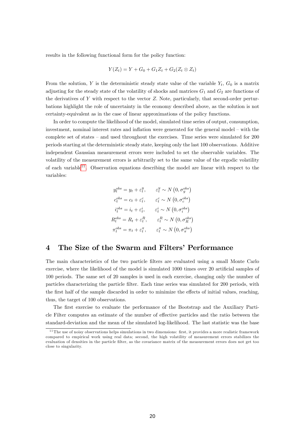results in the following functional form for the policy function:

$$
Y(Z_t) = Y + G_0 + G_1 Z_t + G_2(Z_t \otimes Z_t)
$$

From the solution, Y is the deterministic steady state value of the variable  $Y_t$ ,  $G_0$  is a matrix adjusting for the steady state of the volatility of shocks and matrices  $G_1$  and  $G_2$  are functions of the derivatives of  $Y$  with respect to the vector  $Z$ . Note, particularly, that second-order perturbations highlight the role of uncertainty in the economy described above, as the solution is not certainty-equivalent as in the case of linear approximations of the policy functions.

In order to compute the likelihood of the model, simulated time series of output, consumption, investment, nominal interest rates and inflation were generated for the general model – with the complete set of states  $-$  and used throughout the exercises. Time series were simulated for  $200$ periods starting at the deterministic steady state, keeping only the last 100 observations. Additive independent Gaussian measurement errors were included to set the observable variables. The volatility of the measurement errors is arbitrarily set to the same value of the ergodic volatility of each variable<sup>[11](#page-20-0)</sup>. Observation equations describing the model are linear with respect to the variables:

$$
y_t^{obs} = y_t + \varepsilon_t^y, \qquad \varepsilon_t^y \sim N(0, \sigma_y^{obs})
$$

$$
c_t^{obs} = c_t + \varepsilon_t^c, \qquad \varepsilon_t^c \sim N(0, \sigma_c^{obs})
$$

$$
i_t^{obs} = i_t + \varepsilon_t^i, \qquad \varepsilon_t^i \sim N(0, \sigma_t^{obs})
$$

$$
R_t^{obs} = R_t + \varepsilon_t^R, \qquad \varepsilon_t^R \sim N(0, \sigma_R^{obs})
$$

$$
\pi_t^{obs} = \pi_t + \varepsilon_t^{\pi}, \qquad \varepsilon_t^{\pi} \sim N(0, \sigma_{\pi}^{obs})
$$

## 4 The Size of the Swarm and Filters' Performance

The main characteristics of the two particle Ölters are evaluated using a small Monte Carlo exercise, where the likelihood of the model is simulated 1000 times over 20 artificial samples of 100 periods. The same set of 20 samples is used in each exercise, changing only the number of particles characterizing the particle Ölter. Each time series was simulated for 200 periods, with the first half of the sample discarded in order to minimize the effects of initial values, reaching, thus, the target of 100 observations.

The first exercise to evaluate the performance of the Bootstrap and the Auxiliary Particle Filter computes an estimate of the number of effective particles and the ratio between the standard-deviation and the mean of the simulated log-likelihood. The last statistic was the base

<span id="page-20-0"></span> $11$  The use of noisy observations helps simulations in two dimensions: first, it provides a more realistic framework compared to empirical work using real data; second, the high volatility of measurement errors stabilizes the evaluation of densities in the particle Ölter, as the covariance matrix of the measurement errors does not get too close to singularity.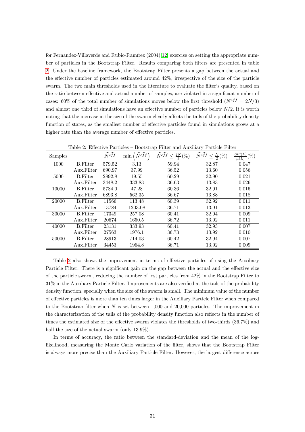for Fernández-Villaverde and Rubio-Ramírez  $(2004)[12]$  $(2004)[12]$  exercise on setting the appropriate number of particles in the Bootstrap Filter. Results comparing both Ölters are presented in table [2.](#page-21-0) Under the baseline framework, the Bootstrap Filter presents a gap between the actual and the effective number of particles estimated around  $42\%$ , irrespective of the size of the particle swarm. The two main thresholds used in the literature to evaluate the filter's quality, based on the ratio between effective and actual number of samples, are violated in a significant number of cases: 60% of the total number of simulations moves below the first threshold ( $N^{eff} = 2N/3$ ) and almost one third of simulations have an effective number of particles below  $N/2$ . It is worth noting that the increase in the size of the swarm clearly affects the tails of the probability density function of states, as the smallest number of effective particles found in simulations grows at a higher rate than the average number of effective particles.

<span id="page-21-0"></span>

| Samples |                 | $\bar{N}^{eff}$ | $N^{ef\tilde{f}}$<br>min | $\frac{2N}{3}(\%)$<br>$N^{eff}$ | $\leq \frac{N}{2}(\%)$<br>$N^{eff}$ | Std(L)<br>$(\%)$<br>$\mu(L)$ |
|---------|-----------------|-----------------|--------------------------|---------------------------------|-------------------------------------|------------------------------|
| 1000    | <b>B.Filter</b> | 579.52          | 3.13                     | 59.94                           | 32.87                               | 0.047                        |
|         | Aux.Filter      | 690.97          | 37.99                    | 36.52                           | 13.60                               | 0.056                        |
| 5000    | <b>B.Filter</b> | 2892.8          | 19.55                    | 60.29                           | 32.90                               | 0.021                        |
|         | Aux.Filter      | 3448.2          | 333.83                   | 36.63                           | 13.83                               | 0.026                        |
| 10000   | <b>B.Filter</b> | 5784.0          | 47.28                    | 60.36                           | 32.91                               | 0.015                        |
|         | Aux.Filter      | 6893.8          | 562.35                   | 36.67                           | 13.88                               | 0.018                        |
| 20000   | <b>B.Filter</b> | 11566           | 113.48                   | 60.39                           | 32.92                               | 0.011                        |
|         | Aux.Filter      | 13784           | 1203.08                  | 36.71                           | 13.91                               | 0.013                        |
| 30000   | <b>B.Filter</b> | 17349           | 257.08                   | 60.41                           | 32.94                               | 0.009                        |
|         | Aux.Filter      | 20674           | 1650.5                   | 36.72                           | 13.92                               | 0.011                        |
| 40000   | <b>B.Filter</b> | 23131           | 333.93                   | 60.41                           | 32.93                               | 0.007                        |
|         | Aux.Filter      | 27563           | 1976.1                   | 36.73                           | 13.92                               | 0.010                        |
| 50000   | <b>B.Filter</b> | 28913           | 714.03                   | 60.42                           | 32.94                               | 0.007                        |
|         | Aux.Filter      | 34453           | 1964.8                   | 36.71                           | 13.92                               | 0.009                        |

Table 2: Effective Particles – Bootstrap Filter and Auxiliary Particle Filter

Table [2](#page-21-0) also shows the improvement in terms of effective particles of using the Auxiliary Particle Filter. There is a significant gain on the gap between the actual and the effective size of the particle swarm, reducing the number of lost particles from 42% in the Bootstrap Filter to  $31\%$  in the Auxiliary Particle Filter. Improvements are also verified at the tails of the probability density function, specially when the size of the swarm is small. The minimum value of the number of effective particles is more than ten times larger in the Auxiliary Particle Filter when compared to the Bootstrap filter when  $N$  is set between 1,000 and 20,000 particles. The improvement in the characterization of the tails of the probability density function also reflects in the number of times the estimated size of the effective swarm violates the thresholds of two-thirds  $(36.7\%)$  and half the size of the actual swarm (only 13.9%).

In terms of accuracy, the ratio between the standard-deviation and the mean of the loglikelihood, measuring the Monte Carlo variation of the filter, shows that the Bootstrap Filter is always more precise than the Auxiliary Particle Filter. However, the largest difference across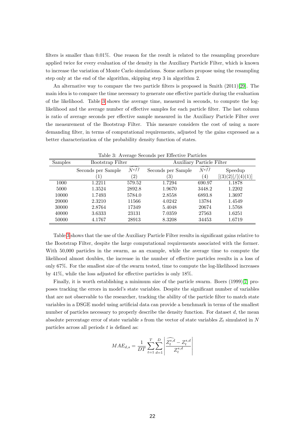filters is smaller than  $0.01\%$ . One reason for the result is related to the resampling procedure applied twice for every evaluation of the density in the Auxiliary Particle Filter, which is known to increase the variation of Monte Carlo simulations. Some authors propose using the resampling step only at the end of the algorithm, skipping step 3 in algorithm 2.

An alternative way to compare the two particle filters is proposed in Smith (2011)[\[29\]](#page-33-4). The main idea is to compare the time necessary to generate one effective particle during the evaluation of the likelihood. Table [3](#page-22-0) shows the average time, measured in seconds, to compute the loglikelihood and the average number of effective samples for each particle filter. The last column is ratio of average seconds per effective sample measured in the Auxiliary Particle Filter over the measurement of the Bootstrap Filter. This measure considers the cost of using a more demanding filter, in terms of computational requirements, adjusted by the gains expressed as a better characterization of the probability density function of states.

<span id="page-22-0"></span>

| rasio of interacting seconds per microstre i arcicles |                    |                   |                                  |                              |                                |  |
|-------------------------------------------------------|--------------------|-------------------|----------------------------------|------------------------------|--------------------------------|--|
| <b>Samples</b>                                        | Bootstrap Filter   |                   | <b>Auxiliary Particle Filter</b> |                              |                                |  |
|                                                       | Seconds per Sample | $\widehat{N}$ eff | Seconds per Sample               | $\widehat{N}$ <sup>eff</sup> | Speedup                        |  |
|                                                       |                    | $^{\prime}2)$     | $\left(3\right)$                 | (4)                          | [(3)(2)]<br>$\frac{1}{(4)(1)}$ |  |
| 1000                                                  | 1.2211             | 579.52            | 1.7294                           | 690.97                       | 1.1878                         |  |
| 5000                                                  | 1.3524             | 2892.8            | 1.9670                           | 3448.2                       | 1.2202                         |  |
| 10000                                                 | 1.7493             | 5784.0            | 2.8558                           | 6893.8                       | 1.3697                         |  |
| 20000                                                 | 2.3210             | 11566             | 4.0242                           | 13784                        | 1.4549                         |  |
| 30000                                                 | 2.8764             | 17349             | 5.4048                           | 20674                        | 1.5768                         |  |
| 40000                                                 | 3.6333             | 23131             | 7.0359                           | 27563                        | 1.6251                         |  |
| 50000                                                 | 4.1767             | 28913             | 8.3208                           | 34453                        | 1.6719                         |  |

Table 3: Average Seconds per Effective Particles

Table [3](#page-22-0) shows that the use of the Auxiliary Particle Filter results in significant gains relative to the Bootstrap Filter, despite the large computational requirements associated with the former. With 50,000 particles in the swarm, as an example, while the average time to compute the likelihood almost doubles, the increase in the number of effective particles results in a loss of only 67%. For the smallest size of the swarm tested, time to compute the log-likelihood increases by  $41\%$ , while the loss adjusted for effective particles is only 18%.

Finally, it is worth establishing a minimum size of the particle swarm. Boers (1999)[\[7\]](#page-31-5) proposes tracking the errors in model's state variables. Despite the significant number of variables that are not observable to the researcher, tracking the ability of the particle Ölter to match state variables in a DSGE model using artificial data can provide a benchmark in terms of the smallest number of particles necessary to properly describe the density function. For dataset  $d$ , the mean absolute percentage error of state variable s from the vector of state variables  $Z_t$  simulated in N particles across all periods  $t$  is defined as:

$$
MAE_{d,s} = \frac{1}{DT} \sum_{t=1}^{T} \sum_{d=1}^{D} \left| \frac{\widehat{Z_t^{s,d}} - Z_t^{s,d}}{Z_t^{s,d}} \right|
$$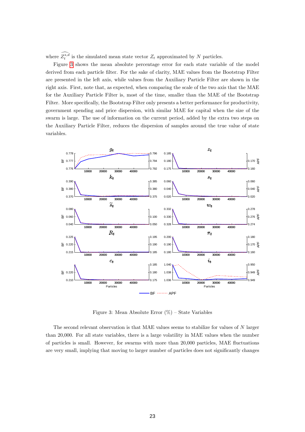where  $Z_t^{s,d}$  is the simulated mean state vector  $Z_t$  approximated by N particles.

Figure [3](#page-23-0) shows the mean absolute percentage error for each state variable of the model derived from each particle filter. For the sake of clarity, MAE values from the Bootstrap Filter are presented in the left axis, while values from the Auxiliary Particle Filter are shown in the right axis. First, note that, as expected, when comparing the scale of the two axis that the MAE for the Auxiliary Particle Filter is, most of the time, smaller than the MAE of the Bootstrap Filter. More specifically, the Bootstrap Filter only presents a better performance for productivity, government spending and price dispersion, with similar MAE for capital when the size of the swarm is large. The use of information on the current period, added by the extra two steps on the Auxiliary Particle Filter, reduces the dispersion of samples around the true value of state variables.



<span id="page-23-0"></span>Figure 3: Mean Absolute Error  $(\%)$  – State Variables

The second relevant observation is that MAE values seems to stabilize for values of N larger than 20,000. For all state variables, there is a large volatility in MAE values when the number of particles is small. However, for swarms with more than 20,000 particles, MAE áuctuations are very small, implying that moving to larger number of particles does not significantly changes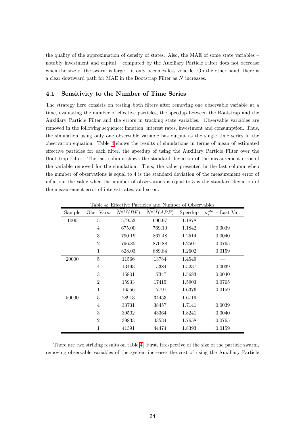the quality of the approximation of density of states. Also, the MAE of some state variables  $$ notably investment and capital  $\sim$  computed by the Auxiliary Particle Filter does not decrease when the size of the swarm is large  $-$  it only becomes less volatile. On the other hand, there is a clear downward path for MAE in the Bootstrap Filter as N increases.

#### 4.1 Sensitivity to the Number of Time Series

The strategy here consists on testing both filters after removing one observable variable at a time, evaluating the number of effective particles, the speedup between the Bootstrap and the Auxiliary Particle Filter and the errors in tracking state variables. Observable variables are removed in the following sequence: inflation, interest rates, investment and consumption. Thus, the simulation using only one observable variable has output as the single time series in the observation equation. Table [4](#page-24-0) shows the results of simulations in terms of mean of estimated effective particles for each filter, the speedup of using the Auxiliary Particle Filter over the Bootstrap Filter. The last column shows the standard deviation of the measurement error of the variable removed for the simulation. Thus, the value presented in the last column when the number of observations is equal to 4 is the standard deviation of the measurement error of inflation; the value when the number of observations is equal to  $3$  is the standard deviation of the measurement error of interest rates, and so on.

<span id="page-24-0"></span>

| Sample | Obs. Vars.     | <b>PHOCOL</b> <sub>10</sub><br>$\widetilde{N}^{eff}(BF)$ | $\tilde{N}^{eff}(APF)$ | Speedup | $\sigma_i^{\overset{\rightharpoonup}{obs}}$<br>Last Var. |
|--------|----------------|----------------------------------------------------------|------------------------|---------|----------------------------------------------------------|
| 1000   | 5              | 579.52                                                   | 690.97                 | 1.1878  |                                                          |
|        | 4              | 675.00                                                   | 769.10                 | 1.1842  | 0.0039                                                   |
|        | 3              | 790.19                                                   | 867.48                 | 1.2514  | 0.0040                                                   |
|        | $\overline{2}$ | 796.85                                                   | 870.88                 | 1.2501  | 0.0765                                                   |
|        | 1              | 828.03                                                   | 889.84                 | 1.2602  | 0.0159                                                   |
| 20000  | $\overline{5}$ | 11566                                                    | 13784                  | 1.4549  |                                                          |
|        | 4              | 13493                                                    | 15384                  | 1.5237  | 0.0039                                                   |
|        | 3              | 15801                                                    | 17347                  | 1.5683  | 0.0040                                                   |
|        | $\overline{2}$ | 15933                                                    | 17415                  | 1.5903  | 0.0765                                                   |
|        | $\mathbf{1}$   | 16556                                                    | 17791                  | 1.6376  | 0.0159                                                   |
| 50000  | $\overline{5}$ | 28913                                                    | 34453                  | 1.6719  |                                                          |
|        | 4              | 33731                                                    | 38457                  | 1.7141  | 0.0039                                                   |
|        | 3              | 39502                                                    | 43364                  | 1.8241  | 0.0040                                                   |
|        | $\overline{2}$ | 39833                                                    | 43534                  | 1.7658  | 0.0765                                                   |
|        | 1              | 41391                                                    | 44474                  | 1.8393  | 0.0159                                                   |

Table 4: Effective Particles and Number of Observables

There are two striking results on table [4.](#page-24-0) First, irrespective of the size of the particle swarm, removing observable variables of the system increases the cost of using the Auxiliary Particle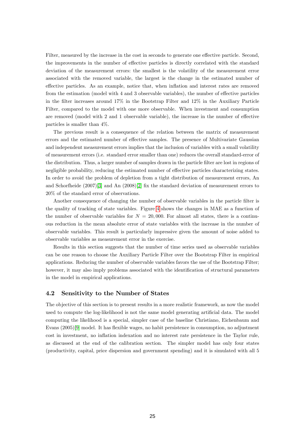Filter, measured by the increase in the cost in seconds to generate one effective particle. Second, the improvements in the number of effective particles is directly correlated with the standard deviation of the measurement errors: the smallest is the volatility of the measurement error associated with the removed variable, the largest is the change in the estimated number of effective particles. As an example, notice that, when inflation and interest rates are removed from the estimation (model with 4 and 3 observable variables), the number of effective particles in the Ölter increases around 17% in the Bootstrap Filter and 12% in the Auxiliary Particle Filter, compared to the model with one more observable. When investment and consumption are removed (model with  $2$  and  $1$  observable variable), the increase in the number of effective particles is smaller than 4%.

The previous result is a consequence of the relation between the matrix of measurement errors and the estimated number of effective samples. The presence of Multivariate Gaussian and independent measurement errors implies that the inclusion of variables with a small volatility of measurement errors (i.e. standard error smaller than one) reduces the overall standard-error of the distribution. Thus, a larger number of samples drawn in the particle Ölter are lost in regions of negligible probability, reducing the estimated number of effective particles characterizing states. In order to avoid the problem of depletion from a tight distribution of measurement errors, An and Schorfheide  $(2007)[3]$  $(2007)[3]$  and An  $(2008)[2]$  $(2008)[2]$  fix the standard deviation of measurement errors to 20% of the standard error of observations.

Another consequence of changing the number of observable variables in the particle filter is the quality of tracking of state variables. Figure [4](#page-26-0) shows the changes in MAE as a function of the number of observable variables for  $N = 20,000$ . For almost all states, there is a continuous reduction in the mean absolute error of state variables with the increase in the number of observable variables. This result is particularly impressive given the amount of noise added to observable variables as measurement error in the exercise.

Results in this section suggests that the number of time series used as observable variables can be one reason to choose the Auxiliary Particle Filter over the Bootstrap Filter in empirical applications. Reducing the number of observable variables favors the use of the Bootstrap Filter; however, it may also imply problems associated with the identification of structural parameters in the model in empirical applications.

#### 4.2 Sensitivity to the Number of States

The objective of this section is to present results in a more realistic framework, as now the model used to compute the log-likelihood is not the same model generating artificial data. The model computing the likelihood is a special, simpler case of the baseline Christiano, Eichenbaum and Evans (2005)[\[9\]](#page-31-1) model. It has flexible wages, no habit persistence in consumption, no adjustment cost in investment, no inflation indexation and no interest rate persistence in the Taylor rule, as discussed at the end of the calibration section. The simpler model has only four states (productivity, capital, price dispersion and government spending) and it is simulated with all 5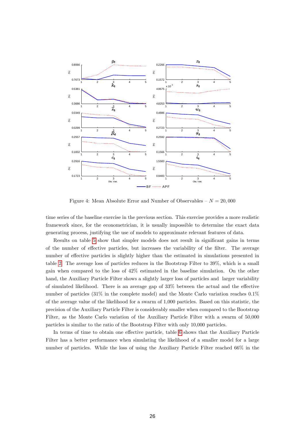

<span id="page-26-0"></span>Figure 4: Mean Absolute Error and Number of Observables  $- N = 20,000$ 

time series of the baseline exercise in the previous section. This exercise provides a more realistic framework since, for the econometrician, it is usually impossible to determine the exact data generating process, justifying the use of models to approximate relevant features of data.

Results on table [5](#page-27-0) show that simpler models does not result in significant gains in terms of the number of effective particles, but increases the variability of the filter. The average number of effective particles is slightly higher than the estimated in simulations presented in table [2.](#page-21-0) The average loss of particles reduces in the Bootstrap Filter to 39%, which is a small gain when compared to the loss of 42% estimated in the baseline simulation. On the other hand, the Auxiliary Particle Filter shows a slightly larger loss of particles and larger variability of simulated likelihood. There is an average gap of  $33\%$  between the actual and the effective number of particles (31% in the complete model) and the Monte Carlo variation reaches 0.1% of the average value of the likelihood for a swarm of 1,000 particles. Based on this statistic, the precision of the Auxiliary Particle Filter is considerably smaller when compared to the Bootstrap Filter, as the Monte Carlo variation of the Auxiliary Particle Filter with a swarm of 50,000 particles is similar to the ratio of the Bootstrap Filter with only 10,000 particles.

In terms of time to obtain one effective particle, table [6](#page-27-1) shows that the Auxiliary Particle Filter has a better performance when simulating the likelihood of a smaller model for a large number of particles. While the loss of using the Auxiliary Particle Filter reached 66% in the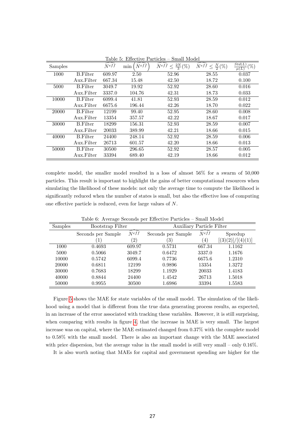<span id="page-27-0"></span>

| Samples |                 | $\widehat{N}$ eff | $N^{eff}$<br>min | $\frac{2N}{3}(\%)$<br>$N^{eff}$<br>$\leq$ | $\leq \frac{N}{2}(\%)$<br>$N^{eff}$ | Std(L)<br>$(\% )$<br>$\mu(L)$ |
|---------|-----------------|-------------------|------------------|-------------------------------------------|-------------------------------------|-------------------------------|
| 1000    | <b>B.Filter</b> | 609.97            | 2.50             | 52.96                                     | 28.55                               | 0.037                         |
|         | Aux.Filter      | 667.34            | 15.48            | 42.50                                     | 18.72                               | 0.100                         |
| 5000    | <b>B.Filter</b> | 3049.7            | 19.92            | 52.92                                     | 28.60                               | 0.016                         |
|         | Aux.Filter      | 3337.0            | 104.76           | 42.31                                     | 18.73                               | 0.033                         |
| 10000   | <b>B.Filter</b> | 6099.4            | 41.81            | 52.93                                     | 28.59                               | 0.012                         |
|         | Aux.Filter      | 6675.6            | 196.44           | 42.26                                     | 18.70                               | 0.022                         |
| 20000   | <b>B.Filter</b> | 12199             | 99.40            | 52.95                                     | 28.60                               | 0.008                         |
|         | Aux.Filter      | 13354             | 357.57           | 42.22                                     | 18.67                               | 0.017                         |
| 30000   | <b>B.Filter</b> | 18299             | 156.31           | 52.93                                     | 28.59                               | 0.007                         |
|         | Aux.Filter      | 20033             | 389.99           | 42.21                                     | 18.66                               | 0.015                         |
| 40000   | <b>B.Filter</b> | 24400             | 248.14           | 52.92                                     | 28.59                               | 0.006                         |
|         | Aux.Filter      | 26713             | 601.57           | 42.20                                     | 18.66                               | 0.013                         |
| 50000   | <b>B.Filter</b> | 30500             | 296.65           | 52.92                                     | 28.57                               | 0.005                         |
|         | Aux.Filter      | 33394             | 689.40           | 42.19                                     | 18.66                               | 0.012                         |

Table 5: Effective Particles – Small Model

complete model, the smaller model resulted in a loss of almost 56% for a swarm of 50,000 particles. This result is important to highlight the gains of better computational resources when simulating the likelihood of these models: not only the average time to compute the likelihood is significantly reduced when the number of states is small, but also the effective loss of computing one effective particle is reduced, even for large values of  $N$ .

<span id="page-27-1"></span>

| <b>Samples</b> | Bootstrap Filter   |                   |                    | <b>Auxiliary Particle Filter</b> |                                |  |  |
|----------------|--------------------|-------------------|--------------------|----------------------------------|--------------------------------|--|--|
|                | Seconds per Sample | $\widehat{N}$ eff | Seconds per Sample | $\widehat{N}$ <sup>eff</sup>     | Speedup                        |  |  |
|                |                    | $^{\prime}2)$     | $\left(3\right)$   | (4)                              | [(3)(2)]<br>$\frac{1}{(4)(1)}$ |  |  |
| 1000           | 0.4693             | 609.97            | 0.5731             | 667.34                           | 1.1162                         |  |  |
| 5000           | 0.5066             | 3049.7            | 0.6472             | 3337.0                           | 1.1676                         |  |  |
| 10000          | 0.5742             | 6099.4            | 0.7736             | 6675.6                           | 1.2310                         |  |  |
| 20000          | 0.6811             | 12199             | 0.9896             | 13354                            | 1.3272                         |  |  |
| 30000          | 0.7683             | 18299             | 1.1929             | 20033                            | 1.4183                         |  |  |
| 40000          | 0.8844             | 24400             | 1.4542             | 26713                            | 1.5018                         |  |  |
| 50000          | 0.9955             | 30500             | 1.6986             | 33394                            | 1.5583                         |  |  |

Table 6: Average Seconds per Effective Particles – Small Model

Figure [5](#page-28-0) shows the MAE for state variables of the small model. The simulation of the likelihood using a model that is different from the true data generating process results, as expected, in an increase of the error associated with tracking these variables. However, it is still surprising, when comparing with results in figure [4,](#page-26-0) that the increase in MAE is very small. The largest increase was on capital, where the MAE estimated changed from 0.37% with the complete model to 0.58% with the small model. There is also an important change with the MAE associated with price dispersion, but the average value in the small model is still very small  $-$  only 0.16%.

It is also worth noting that MAEs for capital and government spending are higher for the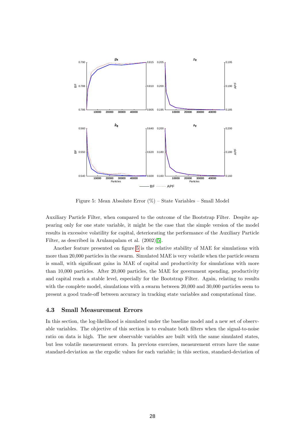

<span id="page-28-0"></span>Figure 5: Mean Absolute Error  $(\%)$  – State Variables – Small Model

Auxiliary Particle Filter, when compared to the outcome of the Bootstrap Filter. Despite appearing only for one state variable, it might be the case that the simple version of the model results in excessive volatility for capital, deteriorating the performance of the Auxiliary Particle Filter, as described in Arulampalam et al. (2002)[\[5\]](#page-31-7).

Another feature presented on figure [5](#page-28-0) is the relative stability of MAE for simulations with more than 20,000 particles in the swarm. Simulated MAE is very volatile when the particle swarm is small, with significant gains in MAE of capital and productivity for simulations with more than 10,000 particles. After 20,000 particles, the MAE for government spending, productivity and capital reach a stable level, especially for the Bootstrap Filter. Again, relating to results with the complete model, simulations with a swarm between 20,000 and 30,000 particles seem to present a good trade-off between accuracy in tracking state variables and computational time.

#### 4.3 Small Measurement Errors

In this section, the log-likelihood is simulated under the baseline model and a new set of observable variables. The objective of this section is to evaluate both filters when the signal-to-noise ratio on data is high. The new observable variables are built with the same simulated states, but less volatile measurement errors. In previous exercises, measurement errors have the same standard-deviation as the ergodic values for each variable; in this section, standard-deviation of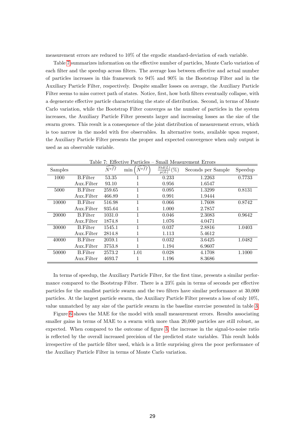measurement errors are reduced to 10% of the ergodic standard-deviation of each variable.

Table [7](#page-29-0) summarizes information on the effective number of particles, Monte Carlo variation of each filter and the speedup across filters. The average loss between effective and actual number of particles increases in this framework to 94% and 90% in the Bootstrap Filter and in the Auxiliary Particle Filter, respectively. Despite smaller losses on average, the Auxiliary Particle Filter seems to miss correct path of states. Notice, first, how both filters eventually collapse, with a degenerate effective particle characterizing the state of distribution. Second, in terms of Monte Carlo variation, while the Bootstrap Filter converges as the number of particles in the system increases, the Auxiliary Particle Filter presents larger and increasing losses as the size of the swarm grows. This result is a consequence of the joint distribution of measurement errors, which is too narrow in the model with Öve observables. In alternative tests, available upon request, the Auxiliary Particle Filter presents the proper and expected convergence when only output is used as an observable variable.

<span id="page-29-0"></span>

|         | -------         |         |                  |                               |                    |         |
|---------|-----------------|---------|------------------|-------------------------------|--------------------|---------|
| Samples |                 | $N$ eff | $N^{eff}$<br>min | Std(L)<br>$(\% )$<br>$\mu(L)$ | Seconds per Sample | Speedup |
| 1000    | <b>B.Filter</b> | 53.35   |                  | 0.233                         | 1.2263             | 0.7733  |
|         | Aux.Filter      | 93.10   | 1                | 0.956                         | 1.6547             |         |
| 5000    | <b>B.Filter</b> | 259.65  | 1                | 0.095                         | 1.3299             | 0.8131  |
|         | Aux.Filter      | 466.89  |                  | 0.991                         | 1.9444             |         |
| 10000   | <b>B.Filter</b> | 516.98  |                  | 0.066                         | 1.7608             | 0.8742  |
|         | Aux.Filter      | 935.64  | 1                | 1.000                         | 2.7857             |         |
| 20000   | <b>B.Filter</b> | 1031.0  | 1                | 0.046                         | 2.3083             | 0.9642  |
|         | Aux.Filter      | 1874.8  | 1                | 1.076                         | 4.0471             |         |
| 30000   | <b>B.Filter</b> | 1545.1  |                  | 0.037                         | 2.8816             | 1.0403  |
|         | Aux.Filter      | 2814.8  | 1                | 1.113                         | 5.4612             |         |
| 40000   | <b>B.Filter</b> | 2059.1  | 1                | 0.032                         | 3.6425             | 1.0482  |
|         | Aux.Filter      | 3753.8  | 1                | 1.194                         | 6.9607             |         |
| 50000   | <b>B.Filter</b> | 2573.2  | 1.01             | 0.028                         | 4.1708             | 1.1000  |
|         | Aux.Filter      | 4693.7  |                  | 1.196                         | 8.3686             |         |

 $Table 7: Effective Particles = Small Measurement Errors$ 

In terms of speedup, the Auxiliary Particle Filter, for the first time, presents a similar performance compared to the Bootstrap Filter. There is a  $23\%$  gain in terms of seconds per effective particles for the smallest particle swarm and the two Ölters have similar performance at 30,000 particles. At the largest particle swarm, the Auxiliary Particle Filter presents a loss of only 10%, value unmatched by any size of the particle swarm in the baseline exercise presented in table [3.](#page-22-0)

Figure [6](#page-30-0) shows the MAE for the model with small measurement errors. Results associating smaller gains in terms of MAE to a swarm with more than 20,000 particles are still robust, as expected. When compared to the outcome of figure [3,](#page-23-0) the increase in the signal-to-noise ratio is reflected by the overall increased precision of the predicted state variables. This result holds irrespective of the particle Ölter used, which is a little surprising given the poor performance of the Auxiliary Particle Filter in terms of Monte Carlo variation.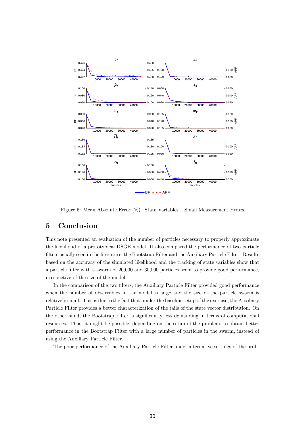

<span id="page-30-0"></span>Figure 6: Mean Absolute Error  $(\%)$  –State Variables – Small Measurement Errors

# 5 Conclusion

This note presented an evaluation of the number of particles necessary to properly approximate the likelihood of a prototypical DSGE model. It also compared the performance of two particle filters usually seen in the literature: the Bootstrap Filter and the Auxiliary Particle Filter. Results based on the accuracy of the simulated likelihood and the tracking of state variables show that a particle Ölter with a swarm of 20,000 and 30,000 particles seem to provide good performance, irrespective of the size of the model.

In the comparison of the two filters, the Auxiliary Particle Filter provided good performance when the number of observables in the model is large and the size of the particle swarm is relatively small. This is due to the fact that, under the baseline setup of the exercise, the Auxiliary Particle Filter provides a better characterization of the tails of the state vector distribution. On the other hand, the Bootstrap Filter is significantly less demanding in terms of computational resources. Thus, it might be possible, depending on the setup of the problem, to obtain better performance in the Bootstrap Filter with a large number of particles in the swarm, instead of using the Auxiliary Particle Filter.

The poor performance of the Auxiliary Particle Filter under alternative settings of the prob-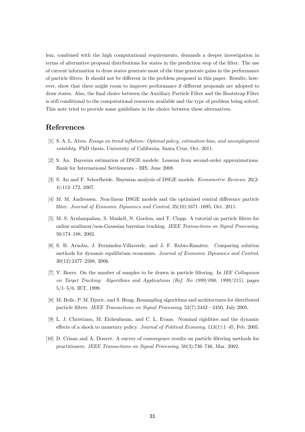lem, combined with the high computational requirements, demands a deeper investigation in terms of alternative proposal distributions for states in the prediction step of the filter. The use of current information to draw states generate most of the time generate gains in the performance of particle filters. It should not be different in the problem proposed in this paper. Results, however, show that there might room to improve performance if different proposals are adopted to draw states. Also, the Önal choice between the Auxiliary Particle Filter and the Bootstrap Filter is still conditional to the computational resources available and the type of problem being solved. This note tried to provide some guidelines in the choice between these alternatives.

### References

- <span id="page-31-0"></span>[1] S. A. L. Alves. Essays on trend inflation: Optimal policy, estimation bias, and unemployment volatility. PhD thesis, University of California, Santa Cruz, Oct. 2011.
- <span id="page-31-4"></span>[2] S. An. Bayesian estimation of DSGE models: Lessons from second-order approximations. Bank for International Settlements - BIS, June 2008.
- <span id="page-31-3"></span>[3] S. An and F. Schorfheide. Bayesian analysis of DSGE models. Econometric Reviews, 26(2- 4):113-172, 2007.
- <span id="page-31-2"></span>[4] M. M. Andreasen. Non-linear DSGE models and the optimized central difference particle filter. Journal of Economic Dynamics and Control,  $35(10):1671-1695$ , Oct. 2011.
- <span id="page-31-7"></span>[5] M. S. Arulampalam, S. Maskell, N. Gordon, and T. Clapp. A tutorial on particle filters for online nonlinear/non-Gaussian bayesian tracking. IEEE Transactions on Signal Processing, 50:174-188, 2002.
- <span id="page-31-9"></span>[6] S. B. Aruoba, J. Fernández-Villaverde, and J. F. Rubio-Ramírez. Comparing solution methods for dynamic equilibrium economies. Journal of Economic Dynamics and Control,  $30(12):2477-2508, 2006.$
- <span id="page-31-5"></span>[7] Y. Boers. On the number of samples to be drawn in particle Öltering. In IEE Colloquium on Target Tracking: Algorithms and Applications (Ref. No 1999/090, 1999/215), pages  $5/1-5/6$ . IET, 1999.
- <span id="page-31-8"></span>[8] M. Bolic, P. M. Djuric, and S. Hong. Resampling algorithms and architectures for distributed particle filters. IEEE Transactions on Signal Processing,  $53(7)$ :2442–2450, July 2005.
- <span id="page-31-1"></span>[9] L. J. Christiano, M. Eichenbaum, and C. L. Evans. Nominal rigidities and the dynamic effects of a shock to monetary policy. Journal of Political Economy,  $113(1):1-45$ , Feb. 2005.
- <span id="page-31-6"></span>[10] D. Crisan and A. Doucet. A survey of convergence results on particle Öltering methods for practitioners. IEEE Transactions on Signal Processing,  $50(3)$ :736–746, Mar. 2002.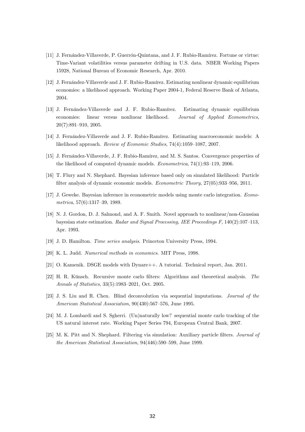- <span id="page-32-7"></span>[11] J. Fernández-Villaverde, P. Guerrón-Quintana, and J. F. Rubio-Ramírez. Fortune or virtue: Time-Variant volatilities versus parameter drifting in U.S. data. NBER Working Papers 15928, National Bureau of Economic Research, Apr. 2010.
- <span id="page-32-5"></span>[12] J. Fernández-Villaverde and J. F. Rubio-Ramírez. Estimating nonlinear dynamic equilibrium economies: a likelihood approach. Working Paper 2004-1, Federal Reserve Bank of Atlanta, 2004.
- <span id="page-32-1"></span>[13] J. Fernández-Villaverde and J. F. Rubio-Ramírez. Estimating dynamic equilibrium economies: linear versus nonlinear likelihood. Journal of Applied Econometrics,  $20(7):891-910, 2005.$
- <span id="page-32-2"></span>[14] J. Fernández-Villaverde and J. F. Rubio-Ramírez. Estimating macroeconomic models: A likelihood approach. Review of Economic Studies,  $74(4)$ :1059–1087, 2007.
- <span id="page-32-0"></span>[15] J. Fernández-Villaverde, J. F. Rubio-Ramírez, and M. S. Santos. Convergence properties of the likelihood of computed dynamic models. *Econometrica*,  $74(1):93-119$ , 2006.
- <span id="page-32-8"></span>[16] T. Flury and N. Shephard. Bayesian inference based only on simulated likelihood: Particle filter analysis of dynamic economic models. *Econometric Theory*,  $27(05):933-956$ ,  $2011$ .
- <span id="page-32-10"></span>[17] J. Geweke. Bayesian inference in econometric models using monte carlo integration. Econometrica,  $57(6)$ :1317-39, 1989.
- <span id="page-32-3"></span>[18] N. J. Gordon, D. J. Salmond, and A. F. Smith. Novel approach to nonlinear/non-Gaussian bayesian state estimation. Radar and Signal Processing, IEE Proceedings  $F$ , 140(2):107-113, Apr. 1993.
- <span id="page-32-11"></span>[19] J. D. Hamilton. Time series analysis. Princeton University Press, 1994.
- <span id="page-32-13"></span>[20] K. L. Judd. Numerical methods in economics. MIT Press, 1998.
- <span id="page-32-14"></span>[21] O. Kamenik. DSGE models with Dynare++. A tutorial. Technical report, Jan. 2011.
- <span id="page-32-12"></span>[22] H. R. Künsch. Recursive monte carlo filters: Algorithms and theoretical analysis. The Annals of Statistics, 33(5):1983-2021, Oct. 2005.
- <span id="page-32-9"></span>[23] J. S. Liu and R. Chen. Blind deconvolution via sequential imputations. Journal of the American Statistical Association,  $90(430):567-576$ , June 1995.
- <span id="page-32-6"></span>[24] M. J. Lombardi and S. Sgherri. (Un)naturally low? sequential monte carlo tracking of the US natural interest rate. Working Paper Series 794, European Central Bank, 2007.
- <span id="page-32-4"></span>[25] M. K. Pitt and N. Shephard. Filtering via simulation: Auxiliary particle filters. *Journal of* the American Statistical Association,  $94(446):590-599$ , June 1999.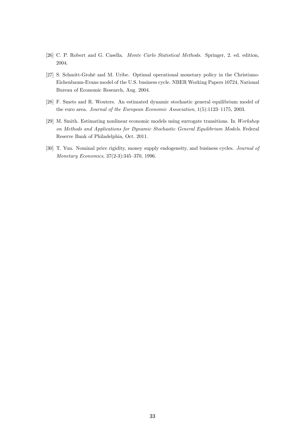- <span id="page-33-1"></span>[26] C. P. Robert and G. Casella. Monte Carlo Statistical Methods. Springer, 2. ed. edition, 2004.
- <span id="page-33-2"></span>[27] S. Schmitt-GrohÈ and M. Uribe. Optimal operational monetary policy in the Christiano-Eichenbaum-Evans model of the U.S. business cycle. NBER Working Papers 10724, National Bureau of Economic Research, Aug. 2004.
- <span id="page-33-0"></span>[28] F. Smets and R. Wouters. An estimated dynamic stochastic general equilibrium model of the euro area. Journal of the European Economic Association,  $1(5):1123-1175$ , 2003.
- <span id="page-33-4"></span>[29] M. Smith. Estimating nonlinear economic models using surrogate transitions. In Workshop on Methods and Applications for Dynamic Stochastic General Equilibrium Models. Federal Reserve Bank of Philadelphia, Oct. 2011.
- <span id="page-33-3"></span>[30] T. Yun. Nominal price rigidity, money supply endogeneity, and business cycles. Journal of Monetary Economics,  $37(2-3):345-370$ , 1996.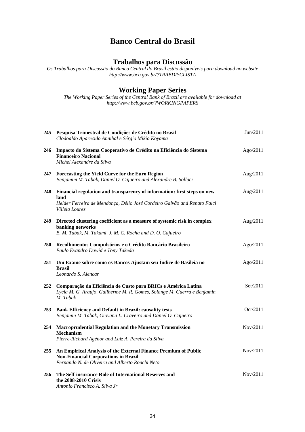# **Banco Central do Brasil**

# **Trabalhos para Discussão**

*Os Trabalhos para Discussão do Banco Central do Brasil estão disponíveis para download no website <http://www.bcb.gov.br/?TRABDISCLISTA>*

# **Working Paper Series**

*The Working Paper Series of the Central Bank of Brazil are available for download at <http://www.bcb.gov.br/?WORKINGPAPERS>*

|            | 245 Pesquisa Trimestral de Condições de Crédito no Brasil<br>Clodoaldo Aparecido Annibal e Sérgio Mikio Koyama                                                                 | Jun/2011 |
|------------|--------------------------------------------------------------------------------------------------------------------------------------------------------------------------------|----------|
| 246        | Impacto do Sistema Cooperativo de Crédito na Eficiência do Sistema<br><b>Financeiro Nacional</b><br>Michel Alexandre da Silva                                                  | Ago/2011 |
| 247        | Forecasting the Yield Curve for the Euro Region<br>Benjamim M. Tabak, Daniel O. Cajueiro and Alexandre B. Sollaci                                                              | Aug/2011 |
| 248        | Financial regulation and transparency of information: first steps on new<br>land<br>Helder Ferreira de Mendonça, Délio José Cordeiro Galvão and Renato Falci<br>Villela Loures | Aug/2011 |
| 249        | Directed clustering coefficient as a measure of systemic risk in complex<br>banking networks<br>B. M. Tabak, M. Takami, J. M. C. Rocha and D. O. Cajueiro                      | Aug/2011 |
| <b>250</b> | Recolhimentos Compulsórios e o Crédito Bancário Brasileiro<br>Paulo Evandro Dawid e Tony Takeda                                                                                | Ago/2011 |
| 251        | Um Exame sobre como os Bancos Ajustam seu Índice de Basileia no<br><b>Brasil</b><br>Leonardo S. Alencar                                                                        | Ago/2011 |
| 252        | Comparação da Eficiência de Custo para BRICs e América Latina<br>Lycia M. G. Araujo, Guilherme M. R. Gomes, Solange M. Guerra e Benjamin<br>M. Tabak                           | Set/2011 |
| 253        | <b>Bank Efficiency and Default in Brazil: causality tests</b><br>Benjamin M. Tabak, Giovana L. Craveiro and Daniel O. Cajueiro                                                 | Oct/2011 |
| 254        | <b>Macroprudential Regulation and the Monetary Transmission</b><br>Mechanism<br>Pierre-Richard Agénor and Luiz A. Pereira da Silva                                             | Nov/2011 |
| 255        | An Empirical Analysis of the External Finance Premium of Public<br><b>Non-Financial Corporations in Brazil</b><br>Fernando N. de Oliveira and Alberto Ronchi Neto              | Nov/2011 |
| 256        | The Self-insurance Role of International Reserves and<br>the 2008-2010 Crisis<br>Antonio Francisco A. Silva Jr                                                                 | Nov/2011 |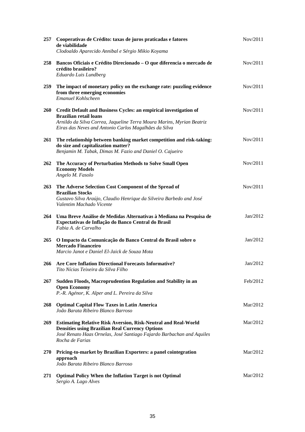| 257        | Cooperativas de Crédito: taxas de juros praticadas e fatores<br>de viabilidade<br>Clodoaldo Aparecido Annibal e Sérgio Mikio Koyama                                                                                                  | Nov/2011 |
|------------|--------------------------------------------------------------------------------------------------------------------------------------------------------------------------------------------------------------------------------------|----------|
| 258        | Bancos Oficiais e Crédito Direcionado - O que diferencia o mercado de<br>crédito brasileiro?<br>Eduardo Luis Lundberg                                                                                                                | Nov/2011 |
| 259        | The impact of monetary policy on the exchange rate: puzzling evidence<br>from three emerging economies<br>Emanuel Kohlscheen                                                                                                         | Nov/2011 |
| <b>260</b> | Credit Default and Business Cycles: an empirical investigation of<br><b>Brazilian retail loans</b><br>Arnildo da Silva Correa, Jaqueline Terra Moura Marins, Myrian Beatriz<br>Eiras das Neves and Antonio Carlos Magalhães da Silva | Nov/2011 |
| 261        | The relationship between banking market competition and risk-taking:<br>do size and capitalization matter?<br>Benjamin M. Tabak, Dimas M. Fazio and Daniel O. Cajueiro                                                               | Nov/2011 |
| 262        | The Accuracy of Perturbation Methods to Solve Small Open<br><b>Economy Models</b><br>Angelo M. Fasolo                                                                                                                                | Nov/2011 |
| 263        | The Adverse Selection Cost Component of the Spread of<br><b>Brazilian Stocks</b><br>Gustavo Silva Araújo, Claudio Henrique da Silveira Barbedo and José<br>Valentim Machado Vicente                                                  | Nov/2011 |
| 264        | Uma Breve Análise de Medidas Alternativas à Mediana na Pesquisa de<br>Expectativas de Inflação do Banco Central do Brasil<br>Fabia A. de Carvalho                                                                                    | Jan/2012 |
| 265        | O Impacto da Comunicação do Banco Central do Brasil sobre o<br><b>Mercado Financeiro</b><br>Marcio Janot e Daniel El-Jaick de Souza Mota                                                                                             | Jan/2012 |
|            | 266 Are Core Inflation Directional Forecasts Informative?<br>Tito Nícias Teixeira da Silva Filho                                                                                                                                     | Jan/2012 |
| 267        | Sudden Floods, Macroprudention Regulation and Stability in an<br><b>Open Economy</b><br>P.-R. Agénor, K. Alper and L. Pereira da Silva                                                                                               | Feb/2012 |
| 268        | <b>Optimal Capital Flow Taxes in Latin America</b><br>João Barata Ribeiro Blanco Barroso                                                                                                                                             | Mar/2012 |
| 269        | <b>Estimating Relative Risk Aversion, Risk-Neutral and Real-World</b><br><b>Densities using Brazilian Real Currency Options</b><br>José Renato Haas Ornelas, José Santiago Fajardo Barbachan and Aquiles<br>Rocha de Farias          | Mar/2012 |
| <b>270</b> | Pricing-to-market by Brazilian Exporters: a panel cointegration<br>approach<br>João Barata Ribeiro Blanco Barroso                                                                                                                    | Mar/2012 |
| 271        | <b>Optimal Policy When the Inflation Target is not Optimal</b><br>Sergio A. Lago Alves                                                                                                                                               | Mar/2012 |